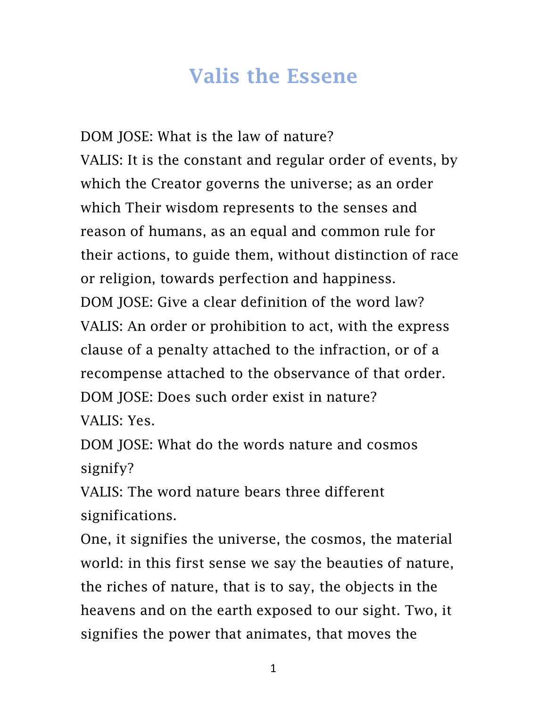## Valis the Essene

DOM JOSE: What is the law of nature? VALIS: It is the constant and regular order of events, by which the Creator governs the universe; as an order which Their wisdom represents to the senses and reason of humans, as an equal and common rule for their actions, to guide them, without distinction of race or religion, towards perfection and happiness. DOM JOSE: Give a clear definition of the word law? VALIS: An order or prohibition to act, with the express clause of a penalty attached to the infraction, or of a recompense attached to the observance of that order. DOM JOSE: Does such order exist in nature?

VALIS: Yes.

DOM JOSE: What do the words nature and cosmos signify?

VALIS: The word nature bears three different significations.

One, it signifies the universe, the cosmos, the material world: in this first sense we say the beauties of nature, the riches of nature, that is to say, the objects in the heavens and on the earth exposed to our sight. Two, it signifies the power that animates, that moves the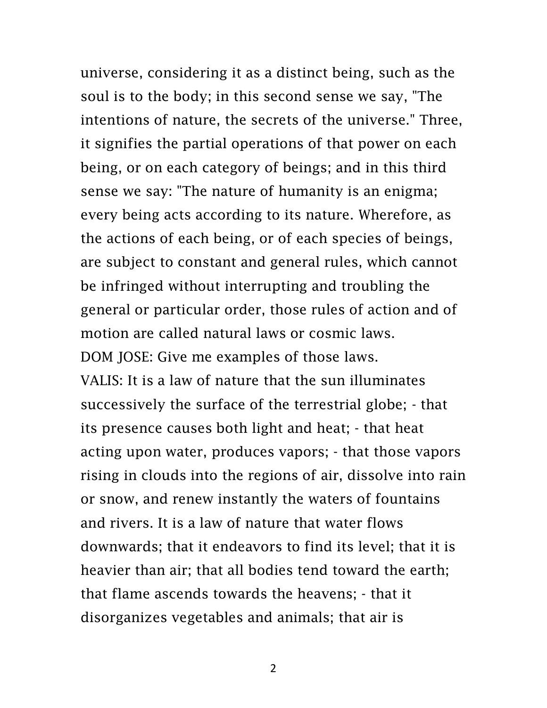universe, considering it as a distinct being, such as the soul is to the body; in this second sense we say, "The intentions of nature, the secrets of the universe." Three, it signifies the partial operations of that power on each being, or on each category of beings; and in this third sense we say: "The nature of humanity is an enigma; every being acts according to its nature. Wherefore, as the actions of each being, or of each species of beings, are subject to constant and general rules, which cannot be infringed without interrupting and troubling the general or particular order, those rules of action and of motion are called natural laws or cosmic laws. DOM JOSE: Give me examples of those laws. VALIS: It is a law of nature that the sun illuminates successively the surface of the terrestrial globe; - that its presence causes both light and heat; - that heat acting upon water, produces vapors; - that those vapors rising in clouds into the regions of air, dissolve into rain or snow, and renew instantly the waters of fountains and rivers. It is a law of nature that water flows downwards; that it endeavors to find its level; that it is heavier than air; that all bodies tend toward the earth; that flame ascends towards the heavens; - that it disorganizes vegetables and animals; that air is

2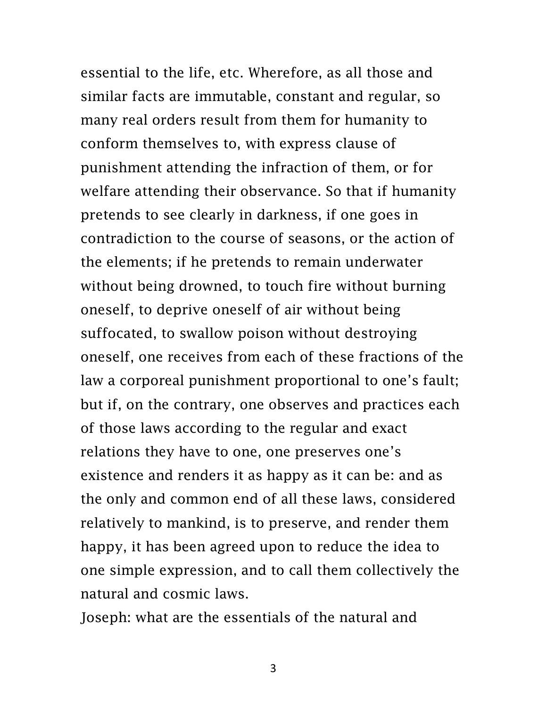essential to the life, etc. Wherefore, as all those and similar facts are immutable, constant and regular, so many real orders result from them for humanity to conform themselves to, with express clause of punishment attending the infraction of them, or for welfare attending their observance. So that if humanity pretends to see clearly in darkness, if one goes in contradiction to the course of seasons, or the action of the elements; if he pretends to remain underwater without being drowned, to touch fire without burning oneself, to deprive oneself of air without being suffocated, to swallow poison without destroying oneself, one receives from each of these fractions of the law a corporeal punishment proportional to one's fault; but if, on the contrary, one observes and practices each of those laws according to the regular and exact relations they have to one, one preserves one's existence and renders it as happy as it can be: and as the only and common end of all these laws, considered relatively to mankind, is to preserve, and render them happy, it has been agreed upon to reduce the idea to one simple expression, and to call them collectively the natural and cosmic laws.

Joseph: what are the essentials of the natural and

3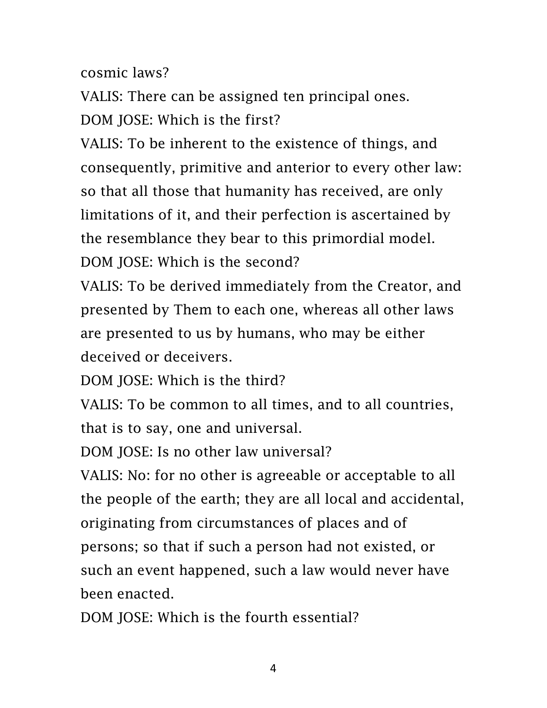cosmic laws?

VALIS: There can be assigned ten principal ones.

DOM JOSE: Which is the first?

VALIS: To be inherent to the existence of things, and consequently, primitive and anterior to every other law: so that all those that humanity has received, are only limitations of it, and their perfection is ascertained by the resemblance they bear to this primordial model. DOM JOSE: Which is the second?

VALIS: To be derived immediately from the Creator, and presented by Them to each one, whereas all other laws are presented to us by humans, who may be either deceived or deceivers.

DOM JOSE: Which is the third?

VALIS: To be common to all times, and to all countries, that is to say, one and universal.

DOM JOSE: Is no other law universal?

VALIS: No: for no other is agreeable or acceptable to all the people of the earth; they are all local and accidental, originating from circumstances of places and of persons; so that if such a person had not existed, or such an event happened, such a law would never have been enacted.

DOM JOSE: Which is the fourth essential?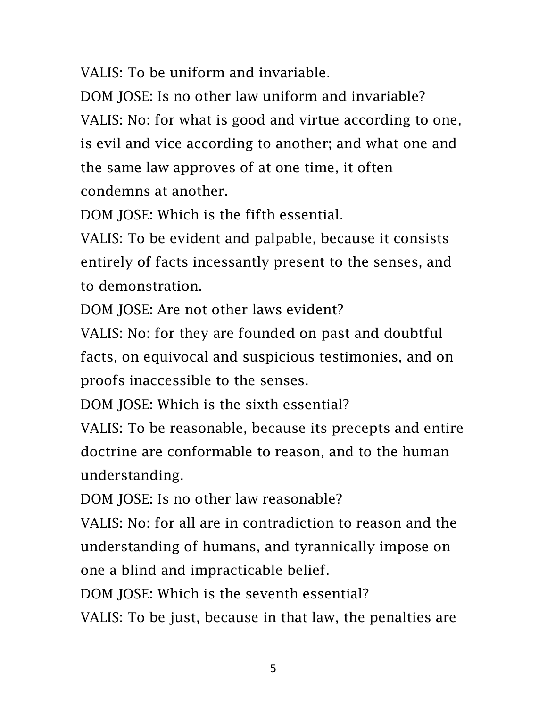VALIS: To be uniform and invariable.

DOM JOSE: Is no other law uniform and invariable? VALIS: No: for what is good and virtue according to one, is evil and vice according to another; and what one and the same law approves of at one time, it often condemns at another.

DOM JOSE: Which is the fifth essential.

VALIS: To be evident and palpable, because it consists entirely of facts incessantly present to the senses, and to demonstration.

DOM JOSE: Are not other laws evident?

VALIS: No: for they are founded on past and doubtful facts, on equivocal and suspicious testimonies, and on proofs inaccessible to the senses.

DOM JOSE: Which is the sixth essential?

VALIS: To be reasonable, because its precepts and entire doctrine are conformable to reason, and to the human understanding.

DOM JOSE: Is no other law reasonable?

VALIS: No: for all are in contradiction to reason and the understanding of humans, and tyrannically impose on one a blind and impracticable belief.

DOM JOSE: Which is the seventh essential?

VALIS: To be just, because in that law, the penalties are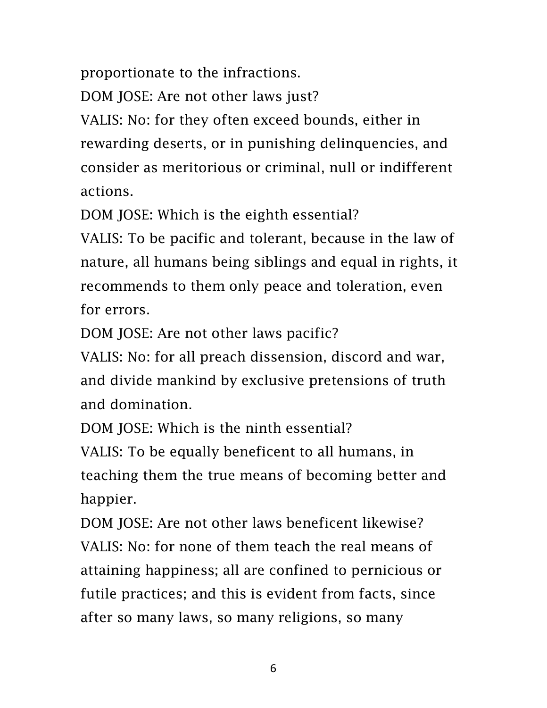proportionate to the infractions.

DOM JOSE: Are not other laws just?

VALIS: No: for they often exceed bounds, either in rewarding deserts, or in punishing delinquencies, and consider as meritorious or criminal, null or indifferent actions.

DOM JOSE: Which is the eighth essential?

VALIS: To be pacific and tolerant, because in the law of nature, all humans being siblings and equal in rights, it recommends to them only peace and toleration, even for errors.

DOM JOSE: Are not other laws pacific?

VALIS: No: for all preach dissension, discord and war, and divide mankind by exclusive pretensions of truth and domination.

DOM JOSE: Which is the ninth essential?

VALIS: To be equally beneficent to all humans, in teaching them the true means of becoming better and happier.

DOM JOSE: Are not other laws beneficent likewise? VALIS: No: for none of them teach the real means of attaining happiness; all are confined to pernicious or futile practices; and this is evident from facts, since after so many laws, so many religions, so many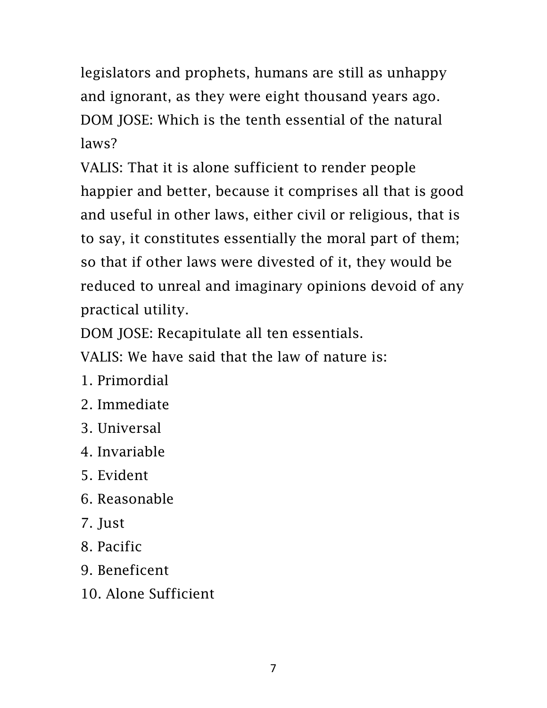legislators and prophets, humans are still as unhappy and ignorant, as they were eight thousand years ago. DOM JOSE: Which is the tenth essential of the natural laws?

VALIS: That it is alone sufficient to render people happier and better, because it comprises all that is good and useful in other laws, either civil or religious, that is to say, it constitutes essentially the moral part of them; so that if other laws were divested of it, they would be reduced to unreal and imaginary opinions devoid of any practical utility.

DOM JOSE: Recapitulate all ten essentials.

VALIS: We have said that the law of nature is:

- 1. Primordial
- 2. Immediate
- 3. Universal
- 4. Invariable
- 5. Evident
- 6. Reasonable
- 7. Just
- 8. Pacific
- 9. Beneficent
- 10. Alone Sufficient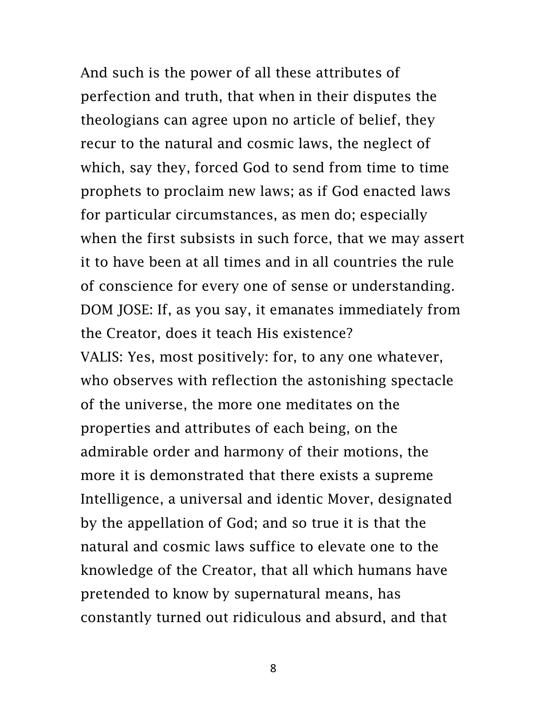And such is the power of all these attributes of perfection and truth, that when in their disputes the theologians can agree upon no article of belief, they recur to the natural and cosmic laws, the neglect of which, say they, forced God to send from time to time prophets to proclaim new laws; as if God enacted laws for particular circumstances, as men do; especially when the first subsists in such force, that we may assert it to have been at all times and in all countries the rule of conscience for every one of sense or understanding. DOM JOSE: If, as you say, it emanates immediately from the Creator, does it teach His existence? VALIS: Yes, most positively: for, to any one whatever, who observes with reflection the astonishing spectacle of the universe, the more one meditates on the properties and attributes of each being, on the admirable order and harmony of their motions, the more it is demonstrated that there exists a supreme Intelligence, a universal and identic Mover, designated by the appellation of God; and so true it is that the natural and cosmic laws suffice to elevate one to the knowledge of the Creator, that all which humans have pretended to know by supernatural means, has constantly turned out ridiculous and absurd, and that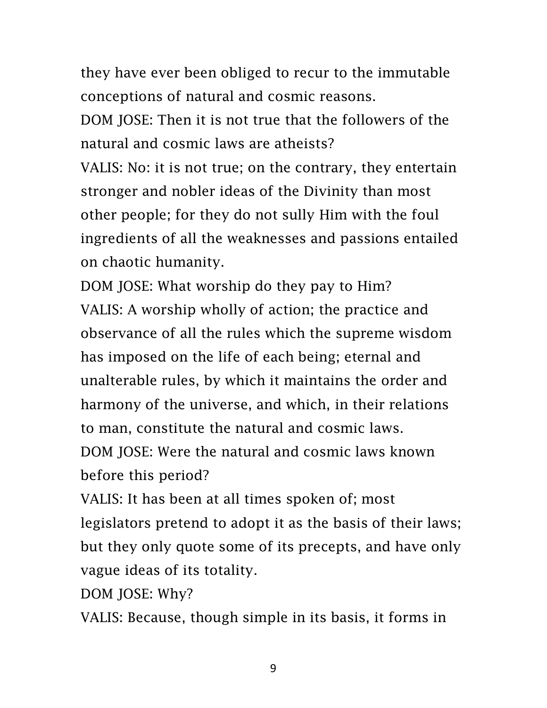they have ever been obliged to recur to the immutable conceptions of natural and cosmic reasons.

DOM JOSE: Then it is not true that the followers of the natural and cosmic laws are atheists?

VALIS: No: it is not true; on the contrary, they entertain stronger and nobler ideas of the Divinity than most other people; for they do not sully Him with the foul ingredients of all the weaknesses and passions entailed on chaotic humanity.

DOM JOSE: What worship do they pay to Him? VALIS: A worship wholly of action; the practice and observance of all the rules which the supreme wisdom has imposed on the life of each being; eternal and unalterable rules, by which it maintains the order and harmony of the universe, and which, in their relations to man, constitute the natural and cosmic laws. DOM JOSE: Were the natural and cosmic laws known

before this period?

VALIS: It has been at all times spoken of; most legislators pretend to adopt it as the basis of their laws; but they only quote some of its precepts, and have only vague ideas of its totality.

DOM JOSE: Why?

VALIS: Because, though simple in its basis, it forms in

9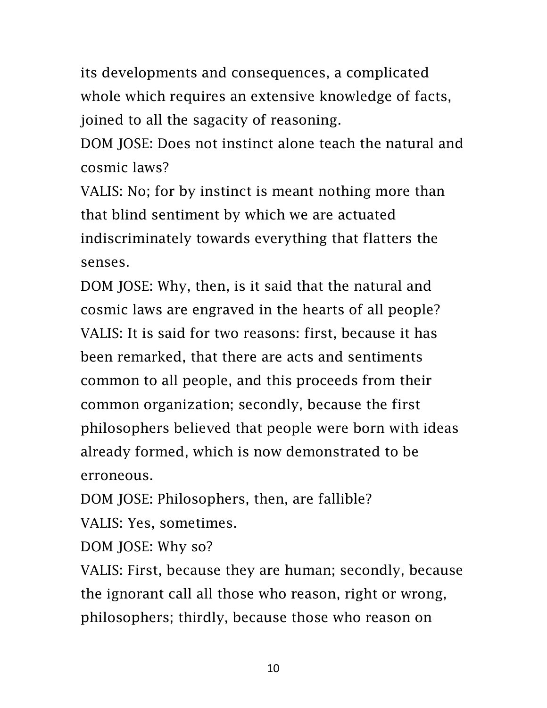its developments and consequences, a complicated whole which requires an extensive knowledge of facts, joined to all the sagacity of reasoning.

DOM JOSE: Does not instinct alone teach the natural and cosmic laws?

VALIS: No; for by instinct is meant nothing more than that blind sentiment by which we are actuated indiscriminately towards everything that flatters the senses.

DOM JOSE: Why, then, is it said that the natural and cosmic laws are engraved in the hearts of all people? VALIS: It is said for two reasons: first, because it has been remarked, that there are acts and sentiments common to all people, and this proceeds from their common organization; secondly, because the first philosophers believed that people were born with ideas already formed, which is now demonstrated to be erroneous.

DOM JOSE: Philosophers, then, are fallible?

VALIS: Yes, sometimes.

DOM JOSE: Why so?

VALIS: First, because they are human; secondly, because the ignorant call all those who reason, right or wrong, philosophers; thirdly, because those who reason on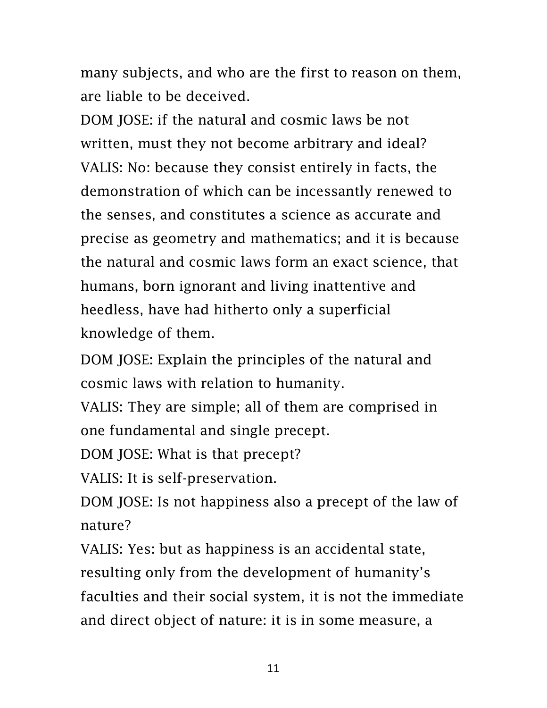many subjects, and who are the first to reason on them, are liable to be deceived.

DOM JOSE: if the natural and cosmic laws be not written, must they not become arbitrary and ideal? VALIS: No: because they consist entirely in facts, the demonstration of which can be incessantly renewed to the senses, and constitutes a science as accurate and precise as geometry and mathematics; and it is because the natural and cosmic laws form an exact science, that humans, born ignorant and living inattentive and heedless, have had hitherto only a superficial knowledge of them.

DOM JOSE: Explain the principles of the natural and cosmic laws with relation to humanity.

VALIS: They are simple; all of them are comprised in one fundamental and single precept.

DOM JOSE: What is that precept?

VALIS: It is self-preservation.

DOM JOSE: Is not happiness also a precept of the law of nature?

VALIS: Yes: but as happiness is an accidental state, resulting only from the development of humanity's faculties and their social system, it is not the immediate and direct object of nature: it is in some measure, a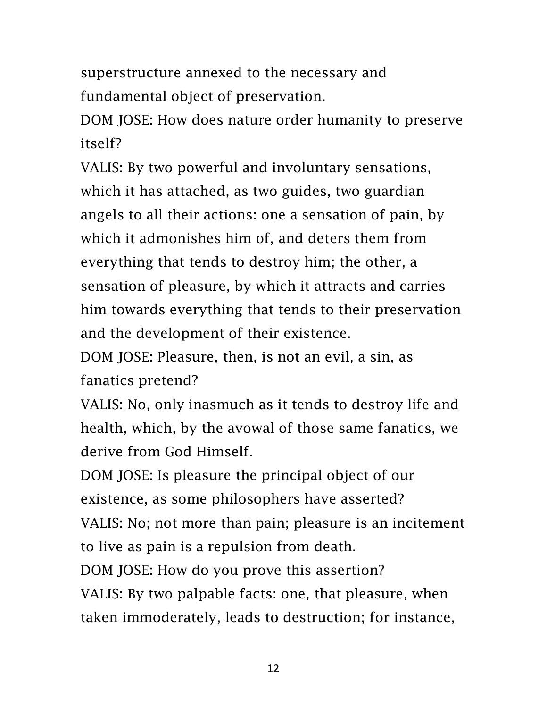superstructure annexed to the necessary and fundamental object of preservation.

DOM JOSE: How does nature order humanity to preserve itself?

VALIS: By two powerful and involuntary sensations, which it has attached, as two guides, two guardian angels to all their actions: one a sensation of pain, by which it admonishes him of, and deters them from everything that tends to destroy him; the other, a sensation of pleasure, by which it attracts and carries him towards everything that tends to their preservation and the development of their existence.

DOM JOSE: Pleasure, then, is not an evil, a sin, as fanatics pretend?

VALIS: No, only inasmuch as it tends to destroy life and health, which, by the avowal of those same fanatics, we derive from God Himself.

DOM JOSE: Is pleasure the principal object of our existence, as some philosophers have asserted?

VALIS: No; not more than pain; pleasure is an incitement to live as pain is a repulsion from death.

DOM JOSE: How do you prove this assertion? VALIS: By two palpable facts: one, that pleasure, when taken immoderately, leads to destruction; for instance,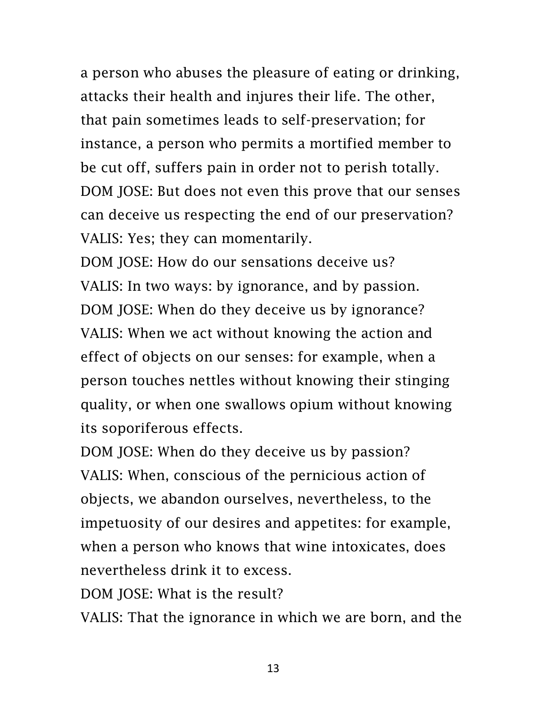a person who abuses the pleasure of eating or drinking, attacks their health and injures their life. The other, that pain sometimes leads to self-preservation; for instance, a person who permits a mortified member to be cut off, suffers pain in order not to perish totally. DOM JOSE: But does not even this prove that our senses can deceive us respecting the end of our preservation? VALIS: Yes; they can momentarily.

DOM JOSE: How do our sensations deceive us? VALIS: In two ways: by ignorance, and by passion. DOM JOSE: When do they deceive us by ignorance? VALIS: When we act without knowing the action and effect of objects on our senses: for example, when a person touches nettles without knowing their stinging quality, or when one swallows opium without knowing its soporiferous effects.

DOM JOSE: When do they deceive us by passion? VALIS: When, conscious of the pernicious action of objects, we abandon ourselves, nevertheless, to the impetuosity of our desires and appetites: for example, when a person who knows that wine intoxicates, does nevertheless drink it to excess.

DOM JOSE: What is the result?

VALIS: That the ignorance in which we are born, and the

13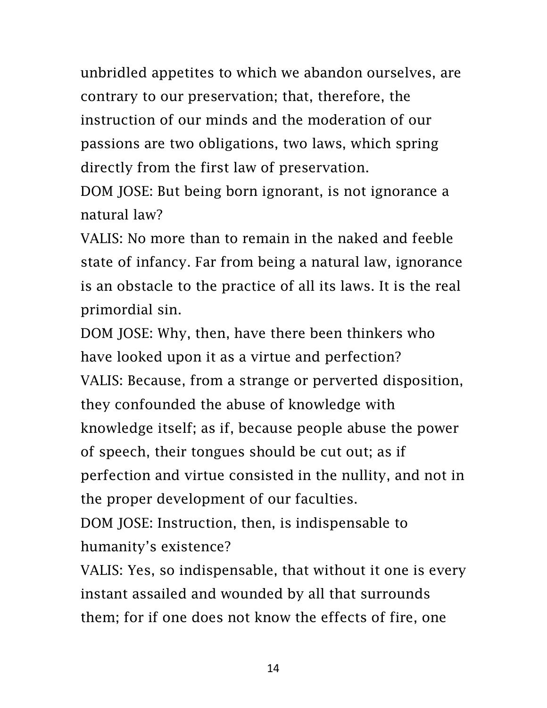unbridled appetites to which we abandon ourselves, are contrary to our preservation; that, therefore, the instruction of our minds and the moderation of our passions are two obligations, two laws, which spring directly from the first law of preservation.

DOM JOSE: But being born ignorant, is not ignorance a natural law?

VALIS: No more than to remain in the naked and feeble state of infancy. Far from being a natural law, ignorance is an obstacle to the practice of all its laws. It is the real primordial sin.

DOM JOSE: Why, then, have there been thinkers who have looked upon it as a virtue and perfection? VALIS: Because, from a strange or perverted disposition, they confounded the abuse of knowledge with knowledge itself; as if, because people abuse the power of speech, their tongues should be cut out; as if perfection and virtue consisted in the nullity, and not in the proper development of our faculties.

DOM JOSE: Instruction, then, is indispensable to humanity's existence?

VALIS: Yes, so indispensable, that without it one is every instant assailed and wounded by all that surrounds them; for if one does not know the effects of fire, one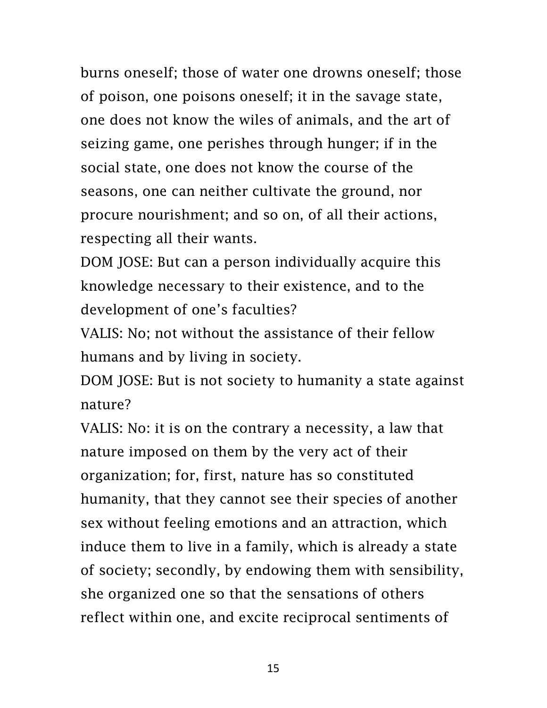burns oneself; those of water one drowns oneself; those of poison, one poisons oneself; it in the savage state, one does not know the wiles of animals, and the art of seizing game, one perishes through hunger; if in the social state, one does not know the course of the seasons, one can neither cultivate the ground, nor procure nourishment; and so on, of all their actions, respecting all their wants.

DOM JOSE: But can a person individually acquire this knowledge necessary to their existence, and to the development of one's faculties?

VALIS: No; not without the assistance of their fellow humans and by living in society.

DOM JOSE: But is not society to humanity a state against nature?

VALIS: No: it is on the contrary a necessity, a law that nature imposed on them by the very act of their organization; for, first, nature has so constituted humanity, that they cannot see their species of another sex without feeling emotions and an attraction, which induce them to live in a family, which is already a state of society; secondly, by endowing them with sensibility, she organized one so that the sensations of others reflect within one, and excite reciprocal sentiments of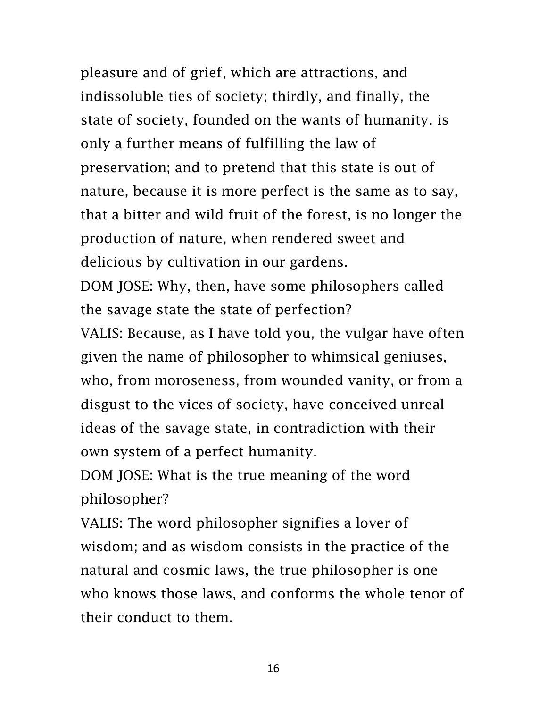pleasure and of grief, which are attractions, and indissoluble ties of society; thirdly, and finally, the state of society, founded on the wants of humanity, is only a further means of fulfilling the law of preservation; and to pretend that this state is out of nature, because it is more perfect is the same as to say, that a bitter and wild fruit of the forest, is no longer the production of nature, when rendered sweet and delicious by cultivation in our gardens.

DOM JOSE: Why, then, have some philosophers called the savage state the state of perfection?

VALIS: Because, as I have told you, the vulgar have often given the name of philosopher to whimsical geniuses, who, from moroseness, from wounded vanity, or from a disgust to the vices of society, have conceived unreal ideas of the savage state, in contradiction with their own system of a perfect humanity.

DOM JOSE: What is the true meaning of the word philosopher?

VALIS: The word philosopher signifies a lover of wisdom; and as wisdom consists in the practice of the natural and cosmic laws, the true philosopher is one who knows those laws, and conforms the whole tenor of their conduct to them.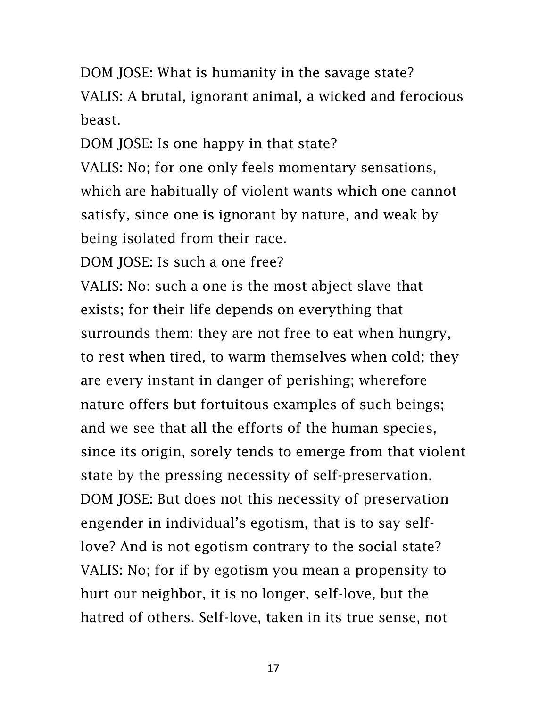DOM JOSE: What is humanity in the savage state? VALIS: A brutal, ignorant animal, a wicked and ferocious beast.

DOM JOSE: Is one happy in that state?

VALIS: No; for one only feels momentary sensations, which are habitually of violent wants which one cannot satisfy, since one is ignorant by nature, and weak by being isolated from their race.

DOM JOSE: Is such a one free?

VALIS: No: such a one is the most abject slave that exists; for their life depends on everything that surrounds them: they are not free to eat when hungry, to rest when tired, to warm themselves when cold; they are every instant in danger of perishing; wherefore nature offers but fortuitous examples of such beings; and we see that all the efforts of the human species, since its origin, sorely tends to emerge from that violent state by the pressing necessity of self-preservation. DOM JOSE: But does not this necessity of preservation engender in individual's egotism, that is to say selflove? And is not egotism contrary to the social state? VALIS: No; for if by egotism you mean a propensity to hurt our neighbor, it is no longer, self-love, but the hatred of others. Self-love, taken in its true sense, not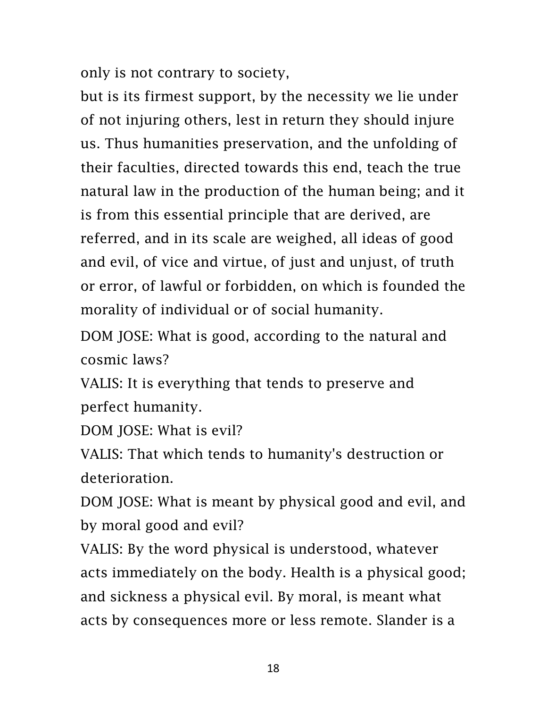only is not contrary to society,

but is its firmest support, by the necessity we lie under of not injuring others, lest in return they should injure us. Thus humanities preservation, and the unfolding of their faculties, directed towards this end, teach the true natural law in the production of the human being; and it is from this essential principle that are derived, are referred, and in its scale are weighed, all ideas of good and evil, of vice and virtue, of just and unjust, of truth or error, of lawful or forbidden, on which is founded the morality of individual or of social humanity.

DOM JOSE: What is good, according to the natural and cosmic laws?

VALIS: It is everything that tends to preserve and perfect humanity.

DOM JOSE: What is evil?

VALIS: That which tends to humanity's destruction or deterioration.

DOM JOSE: What is meant by physical good and evil, and by moral good and evil?

VALIS: By the word physical is understood, whatever acts immediately on the body. Health is a physical good; and sickness a physical evil. By moral, is meant what acts by consequences more or less remote. Slander is a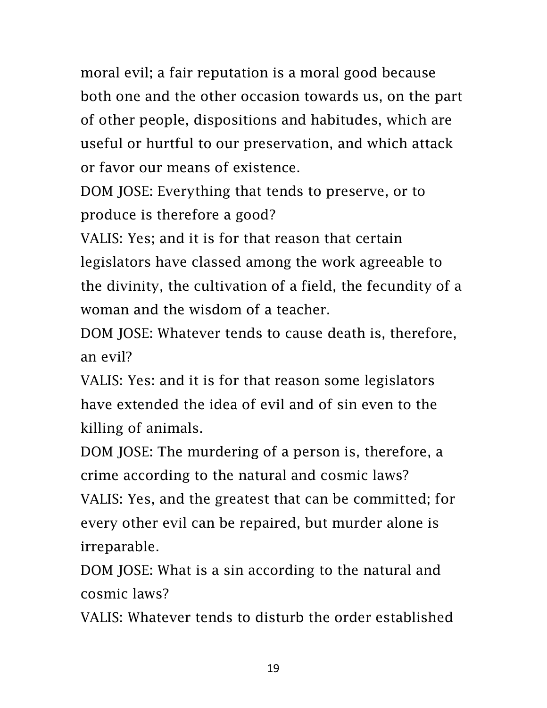moral evil; a fair reputation is a moral good because both one and the other occasion towards us, on the part of other people, dispositions and habitudes, which are useful or hurtful to our preservation, and which attack or favor our means of existence.

DOM JOSE: Everything that tends to preserve, or to produce is therefore a good?

VALIS: Yes; and it is for that reason that certain legislators have classed among the work agreeable to the divinity, the cultivation of a field, the fecundity of a woman and the wisdom of a teacher.

DOM JOSE: Whatever tends to cause death is, therefore, an evil?

VALIS: Yes: and it is for that reason some legislators have extended the idea of evil and of sin even to the killing of animals.

DOM JOSE: The murdering of a person is, therefore, a crime according to the natural and cosmic laws?

VALIS: Yes, and the greatest that can be committed; for every other evil can be repaired, but murder alone is irreparable.

DOM JOSE: What is a sin according to the natural and cosmic laws?

VALIS: Whatever tends to disturb the order established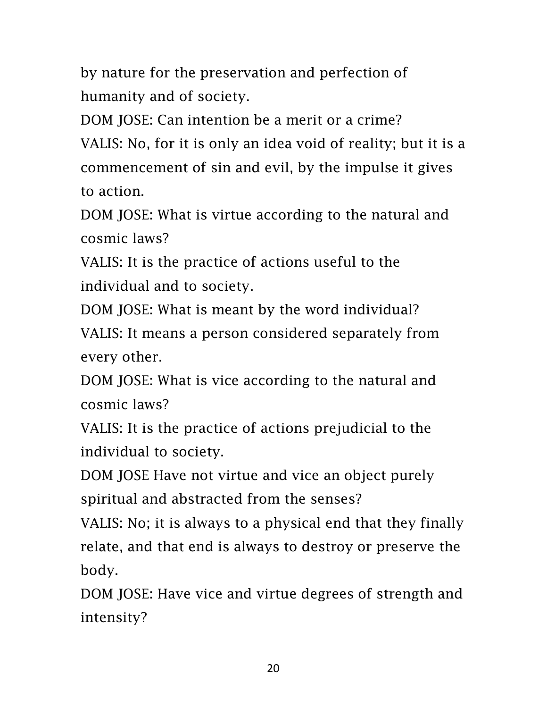by nature for the preservation and perfection of humanity and of society.

DOM JOSE: Can intention be a merit or a crime?

VALIS: No, for it is only an idea void of reality; but it is a commencement of sin and evil, by the impulse it gives to action.

DOM JOSE: What is virtue according to the natural and cosmic laws?

VALIS: It is the practice of actions useful to the individual and to society.

DOM JOSE: What is meant by the word individual?

VALIS: It means a person considered separately from every other.

DOM JOSE: What is vice according to the natural and cosmic laws?

VALIS: It is the practice of actions prejudicial to the individual to society.

DOM JOSE Have not virtue and vice an object purely spiritual and abstracted from the senses?

VALIS: No; it is always to a physical end that they finally relate, and that end is always to destroy or preserve the body.

DOM JOSE: Have vice and virtue degrees of strength and intensity?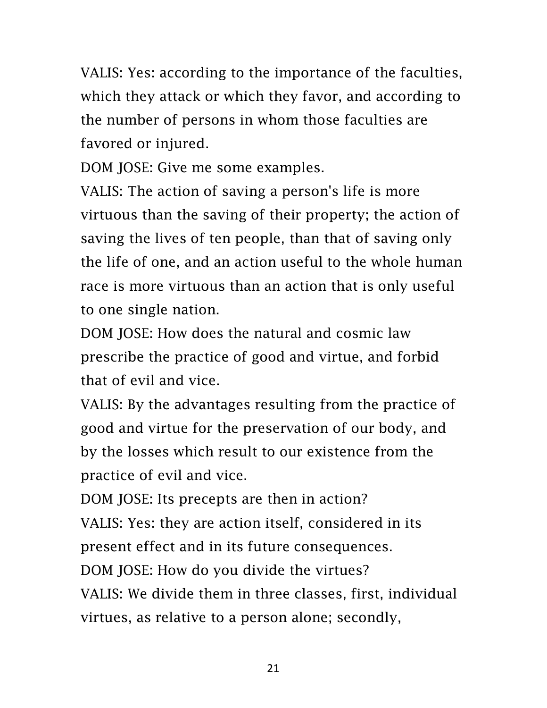VALIS: Yes: according to the importance of the faculties, which they attack or which they favor, and according to the number of persons in whom those faculties are favored or injured.

DOM JOSE: Give me some examples.

VALIS: The action of saving a person's life is more virtuous than the saving of their property; the action of saving the lives of ten people, than that of saving only the life of one, and an action useful to the whole human race is more virtuous than an action that is only useful to one single nation.

DOM JOSE: How does the natural and cosmic law prescribe the practice of good and virtue, and forbid that of evil and vice.

VALIS: By the advantages resulting from the practice of good and virtue for the preservation of our body, and by the losses which result to our existence from the practice of evil and vice.

DOM JOSE: Its precepts are then in action? VALIS: Yes: they are action itself, considered in its present effect and in its future consequences. DOM JOSE: How do you divide the virtues?

VALIS: We divide them in three classes, first, individual virtues, as relative to a person alone; secondly,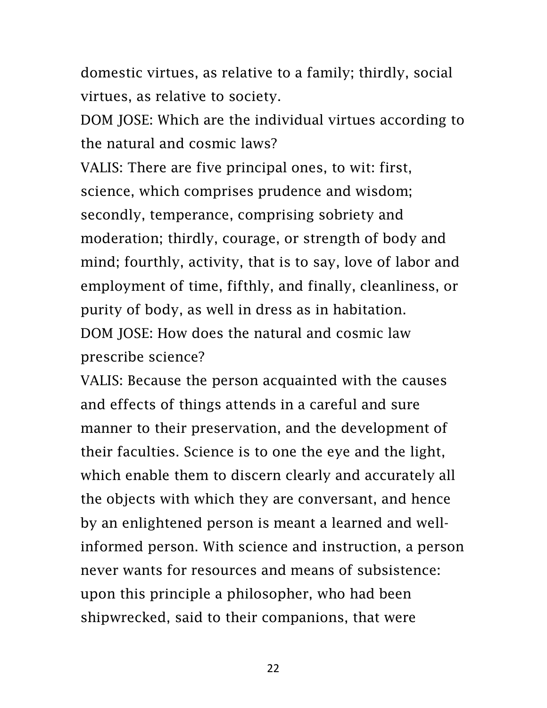domestic virtues, as relative to a family; thirdly, social virtues, as relative to society.

DOM JOSE: Which are the individual virtues according to the natural and cosmic laws?

VALIS: There are five principal ones, to wit: first, science, which comprises prudence and wisdom; secondly, temperance, comprising sobriety and moderation; thirdly, courage, or strength of body and mind; fourthly, activity, that is to say, love of labor and employment of time, fifthly, and finally, cleanliness, or purity of body, as well in dress as in habitation. DOM JOSE: How does the natural and cosmic law prescribe science?

VALIS: Because the person acquainted with the causes and effects of things attends in a careful and sure manner to their preservation, and the development of their faculties. Science is to one the eye and the light, which enable them to discern clearly and accurately all the objects with which they are conversant, and hence by an enlightened person is meant a learned and wellinformed person. With science and instruction, a person never wants for resources and means of subsistence: upon this principle a philosopher, who had been shipwrecked, said to their companions, that were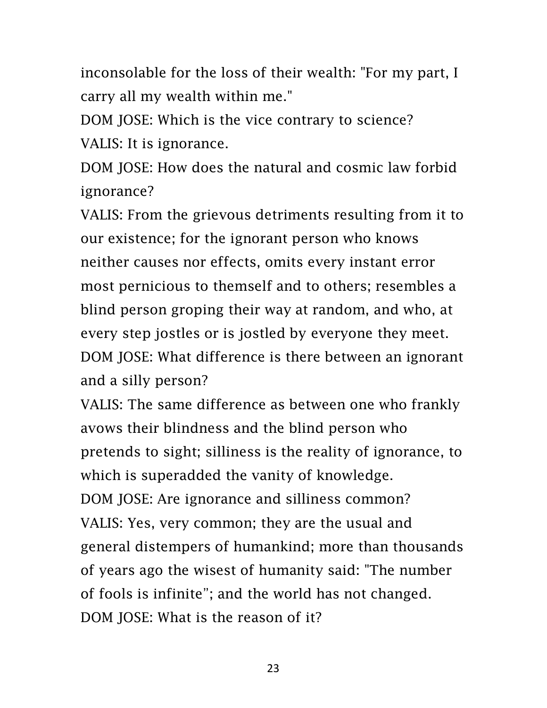inconsolable for the loss of their wealth: "For my part, I carry all my wealth within me."

DOM JOSE: Which is the vice contrary to science?

VALIS: It is ignorance.

DOM JOSE: How does the natural and cosmic law forbid ignorance?

VALIS: From the grievous detriments resulting from it to our existence; for the ignorant person who knows neither causes nor effects, omits every instant error most pernicious to themself and to others; resembles a blind person groping their way at random, and who, at every step jostles or is jostled by everyone they meet. DOM JOSE: What difference is there between an ignorant and a silly person?

VALIS: The same difference as between one who frankly avows their blindness and the blind person who pretends to sight; silliness is the reality of ignorance, to which is superadded the vanity of knowledge. DOM JOSE: Are ignorance and silliness common? VALIS: Yes, very common; they are the usual and general distempers of humankind; more than thousands of years ago the wisest of humanity said: "The number of fools is infinite"; and the world has not changed. DOM JOSE: What is the reason of it?

23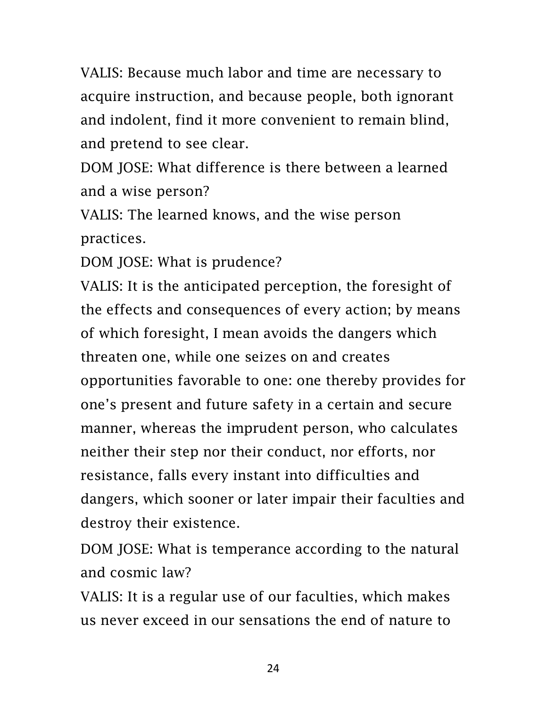VALIS: Because much labor and time are necessary to acquire instruction, and because people, both ignorant and indolent, find it more convenient to remain blind, and pretend to see clear.

DOM JOSE: What difference is there between a learned and a wise person?

VALIS: The learned knows, and the wise person practices.

DOM JOSE: What is prudence?

VALIS: It is the anticipated perception, the foresight of the effects and consequences of every action; by means of which foresight, I mean avoids the dangers which threaten one, while one seizes on and creates opportunities favorable to one: one thereby provides for one's present and future safety in a certain and secure manner, whereas the imprudent person, who calculates neither their step nor their conduct, nor efforts, nor resistance, falls every instant into difficulties and dangers, which sooner or later impair their faculties and destroy their existence.

DOM JOSE: What is temperance according to the natural and cosmic law?

VALIS: It is a regular use of our faculties, which makes us never exceed in our sensations the end of nature to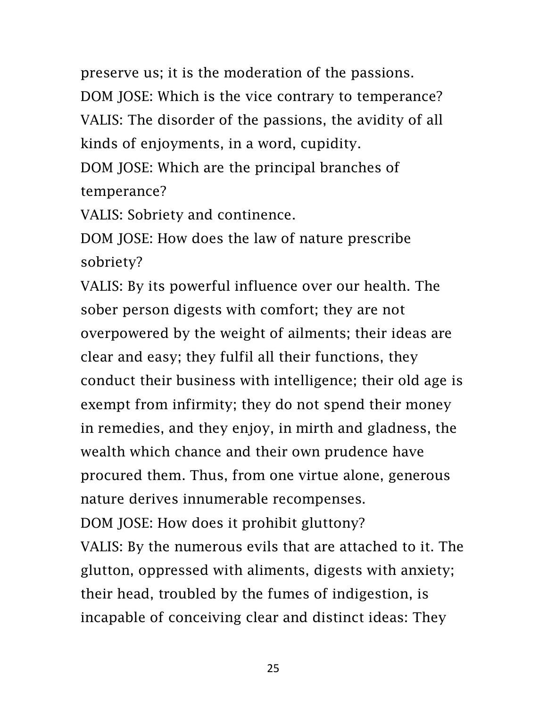preserve us; it is the moderation of the passions.

DOM JOSE: Which is the vice contrary to temperance? VALIS: The disorder of the passions, the avidity of all kinds of enjoyments, in a word, cupidity.

DOM JOSE: Which are the principal branches of temperance?

VALIS: Sobriety and continence.

DOM JOSE: How does the law of nature prescribe sobriety?

VALIS: By its powerful influence over our health. The sober person digests with comfort; they are not overpowered by the weight of ailments; their ideas are clear and easy; they fulfil all their functions, they conduct their business with intelligence; their old age is exempt from infirmity; they do not spend their money in remedies, and they enjoy, in mirth and gladness, the wealth which chance and their own prudence have procured them. Thus, from one virtue alone, generous nature derives innumerable recompenses. DOM JOSE: How does it prohibit gluttony? VALIS: By the numerous evils that are attached to it. The glutton, oppressed with aliments, digests with anxiety; their head, troubled by the fumes of indigestion, is incapable of conceiving clear and distinct ideas: They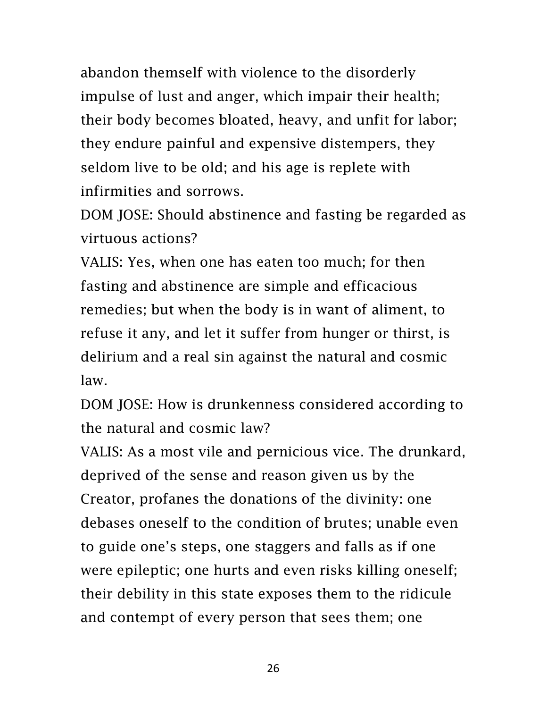abandon themself with violence to the disorderly impulse of lust and anger, which impair their health; their body becomes bloated, heavy, and unfit for labor; they endure painful and expensive distempers, they seldom live to be old; and his age is replete with infirmities and sorrows.

DOM JOSE: Should abstinence and fasting be regarded as virtuous actions?

VALIS: Yes, when one has eaten too much; for then fasting and abstinence are simple and efficacious remedies; but when the body is in want of aliment, to refuse it any, and let it suffer from hunger or thirst, is delirium and a real sin against the natural and cosmic law.

DOM JOSE: How is drunkenness considered according to the natural and cosmic law?

VALIS: As a most vile and pernicious vice. The drunkard, deprived of the sense and reason given us by the Creator, profanes the donations of the divinity: one debases oneself to the condition of brutes; unable even to guide one's steps, one staggers and falls as if one were epileptic; one hurts and even risks killing oneself; their debility in this state exposes them to the ridicule and contempt of every person that sees them; one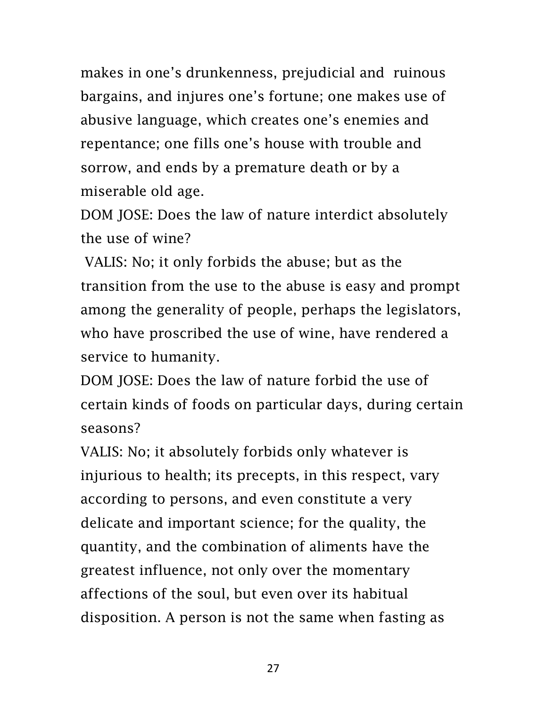makes in one's drunkenness, prejudicial and ruinous bargains, and injures one's fortune; one makes use of abusive language, which creates one's enemies and repentance; one fills one's house with trouble and sorrow, and ends by a premature death or by a miserable old age.

DOM JOSE: Does the law of nature interdict absolutely the use of wine?

VALIS: No; it only forbids the abuse; but as the transition from the use to the abuse is easy and prompt among the generality of people, perhaps the legislators, who have proscribed the use of wine, have rendered a service to humanity.

DOM JOSE: Does the law of nature forbid the use of certain kinds of foods on particular days, during certain seasons?

VALIS: No; it absolutely forbids only whatever is injurious to health; its precepts, in this respect, vary according to persons, and even constitute a very delicate and important science; for the quality, the quantity, and the combination of aliments have the greatest influence, not only over the momentary affections of the soul, but even over its habitual disposition. A person is not the same when fasting as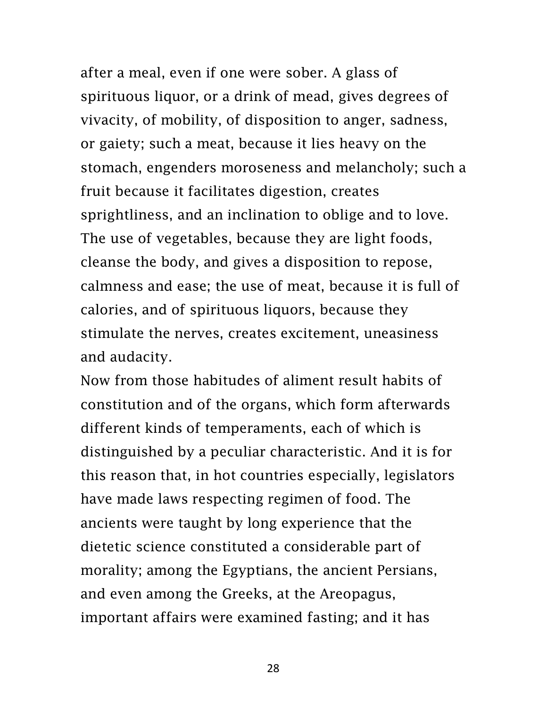after a meal, even if one were sober. A glass of spirituous liquor, or a drink of mead, gives degrees of vivacity, of mobility, of disposition to anger, sadness, or gaiety; such a meat, because it lies heavy on the stomach, engenders moroseness and melancholy; such a fruit because it facilitates digestion, creates sprightliness, and an inclination to oblige and to love. The use of vegetables, because they are light foods, cleanse the body, and gives a disposition to repose, calmness and ease; the use of meat, because it is full of calories, and of spirituous liquors, because they stimulate the nerves, creates excitement, uneasiness and audacity.

Now from those habitudes of aliment result habits of constitution and of the organs, which form afterwards different kinds of temperaments, each of which is distinguished by a peculiar characteristic. And it is for this reason that, in hot countries especially, legislators have made laws respecting regimen of food. The ancients were taught by long experience that the dietetic science constituted a considerable part of morality; among the Egyptians, the ancient Persians, and even among the Greeks, at the Areopagus, important affairs were examined fasting; and it has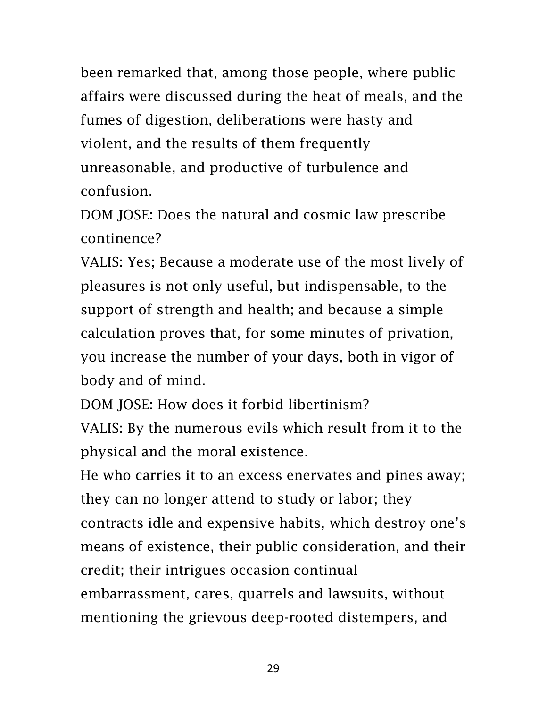been remarked that, among those people, where public affairs were discussed during the heat of meals, and the fumes of digestion, deliberations were hasty and violent, and the results of them frequently unreasonable, and productive of turbulence and confusion.

DOM JOSE: Does the natural and cosmic law prescribe continence?

VALIS: Yes; Because a moderate use of the most lively of pleasures is not only useful, but indispensable, to the support of strength and health; and because a simple calculation proves that, for some minutes of privation, you increase the number of your days, both in vigor of body and of mind.

DOM JOSE: How does it forbid libertinism?

VALIS: By the numerous evils which result from it to the physical and the moral existence.

He who carries it to an excess enervates and pines away; they can no longer attend to study or labor; they contracts idle and expensive habits, which destroy one's means of existence, their public consideration, and their credit; their intrigues occasion continual embarrassment, cares, quarrels and lawsuits, without mentioning the grievous deep-rooted distempers, and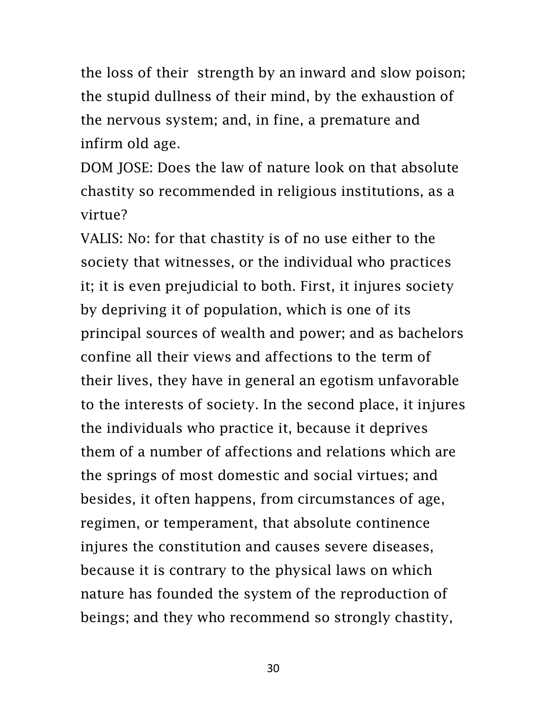the loss of their strength by an inward and slow poison; the stupid dullness of their mind, by the exhaustion of the nervous system; and, in fine, a premature and infirm old age.

DOM JOSE: Does the law of nature look on that absolute chastity so recommended in religious institutions, as a virtue?

VALIS: No: for that chastity is of no use either to the society that witnesses, or the individual who practices it; it is even prejudicial to both. First, it injures society by depriving it of population, which is one of its principal sources of wealth and power; and as bachelors confine all their views and affections to the term of their lives, they have in general an egotism unfavorable to the interests of society. In the second place, it injures the individuals who practice it, because it deprives them of a number of affections and relations which are the springs of most domestic and social virtues; and besides, it often happens, from circumstances of age, regimen, or temperament, that absolute continence injures the constitution and causes severe diseases, because it is contrary to the physical laws on which nature has founded the system of the reproduction of beings; and they who recommend so strongly chastity,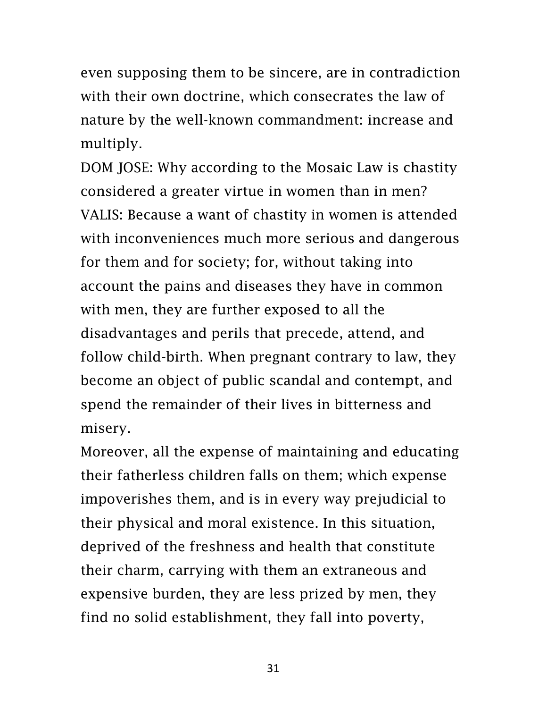even supposing them to be sincere, are in contradiction with their own doctrine, which consecrates the law of nature by the well-known commandment: increase and multiply.

DOM JOSE: Why according to the Mosaic Law is chastity considered a greater virtue in women than in men? VALIS: Because a want of chastity in women is attended with inconveniences much more serious and dangerous for them and for society; for, without taking into account the pains and diseases they have in common with men, they are further exposed to all the disadvantages and perils that precede, attend, and follow child-birth. When pregnant contrary to law, they become an object of public scandal and contempt, and spend the remainder of their lives in bitterness and misery.

Moreover, all the expense of maintaining and educating their fatherless children falls on them; which expense impoverishes them, and is in every way prejudicial to their physical and moral existence. In this situation, deprived of the freshness and health that constitute their charm, carrying with them an extraneous and expensive burden, they are less prized by men, they find no solid establishment, they fall into poverty,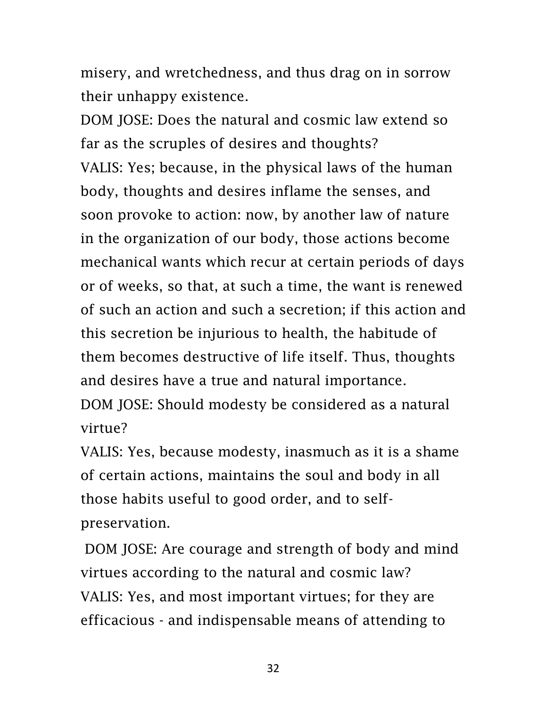misery, and wretchedness, and thus drag on in sorrow their unhappy existence.

DOM JOSE: Does the natural and cosmic law extend so far as the scruples of desires and thoughts? VALIS: Yes; because, in the physical laws of the human body, thoughts and desires inflame the senses, and soon provoke to action: now, by another law of nature in the organization of our body, those actions become mechanical wants which recur at certain periods of days or of weeks, so that, at such a time, the want is renewed of such an action and such a secretion; if this action and this secretion be injurious to health, the habitude of them becomes destructive of life itself. Thus, thoughts and desires have a true and natural importance. DOM JOSE: Should modesty be considered as a natural virtue?

VALIS: Yes, because modesty, inasmuch as it is a shame of certain actions, maintains the soul and body in all those habits useful to good order, and to selfpreservation.

DOM JOSE: Are courage and strength of body and mind virtues according to the natural and cosmic law? VALIS: Yes, and most important virtues; for they are efficacious - and indispensable means of attending to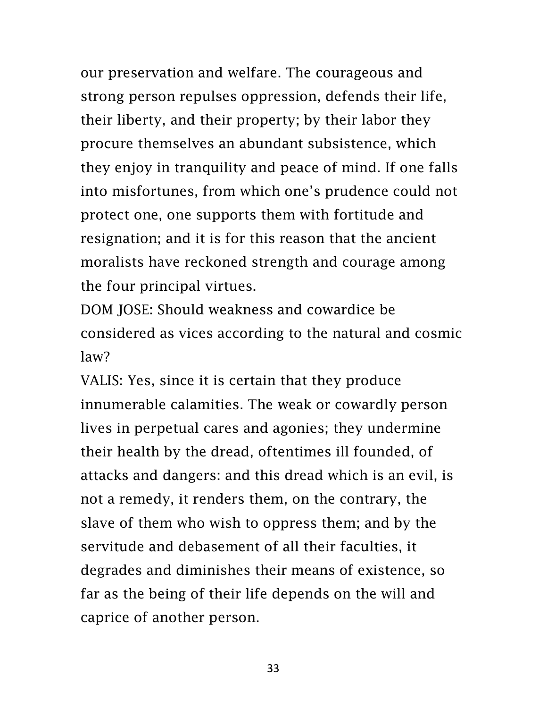our preservation and welfare. The courageous and strong person repulses oppression, defends their life, their liberty, and their property; by their labor they procure themselves an abundant subsistence, which they enjoy in tranquility and peace of mind. If one falls into misfortunes, from which one's prudence could not protect one, one supports them with fortitude and resignation; and it is for this reason that the ancient moralists have reckoned strength and courage among the four principal virtues.

DOM JOSE: Should weakness and cowardice be considered as vices according to the natural and cosmic law?

VALIS: Yes, since it is certain that they produce innumerable calamities. The weak or cowardly person lives in perpetual cares and agonies; they undermine their health by the dread, oftentimes ill founded, of attacks and dangers: and this dread which is an evil, is not a remedy, it renders them, on the contrary, the slave of them who wish to oppress them; and by the servitude and debasement of all their faculties, it degrades and diminishes their means of existence, so far as the being of their life depends on the will and caprice of another person.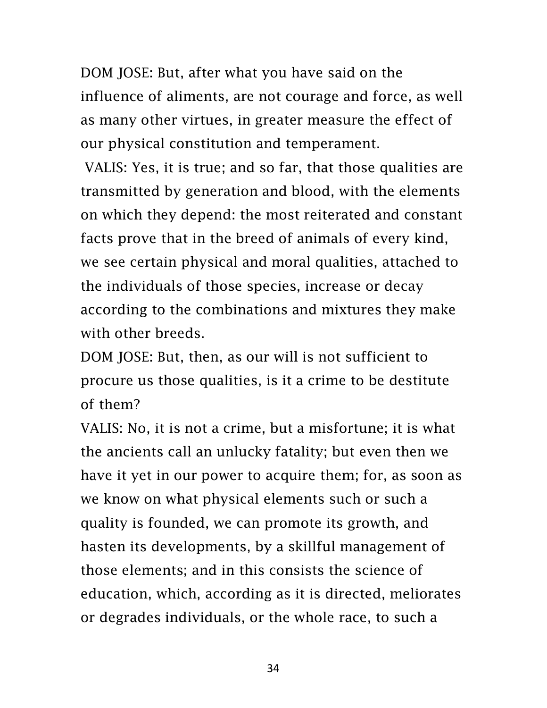DOM JOSE: But, after what you have said on the influence of aliments, are not courage and force, as well as many other virtues, in greater measure the effect of our physical constitution and temperament.

VALIS: Yes, it is true; and so far, that those qualities are transmitted by generation and blood, with the elements on which they depend: the most reiterated and constant facts prove that in the breed of animals of every kind, we see certain physical and moral qualities, attached to the individuals of those species, increase or decay according to the combinations and mixtures they make with other breeds.

DOM JOSE: But, then, as our will is not sufficient to procure us those qualities, is it a crime to be destitute of them?

VALIS: No, it is not a crime, but a misfortune; it is what the ancients call an unlucky fatality; but even then we have it yet in our power to acquire them; for, as soon as we know on what physical elements such or such a quality is founded, we can promote its growth, and hasten its developments, by a skillful management of those elements; and in this consists the science of education, which, according as it is directed, meliorates or degrades individuals, or the whole race, to such a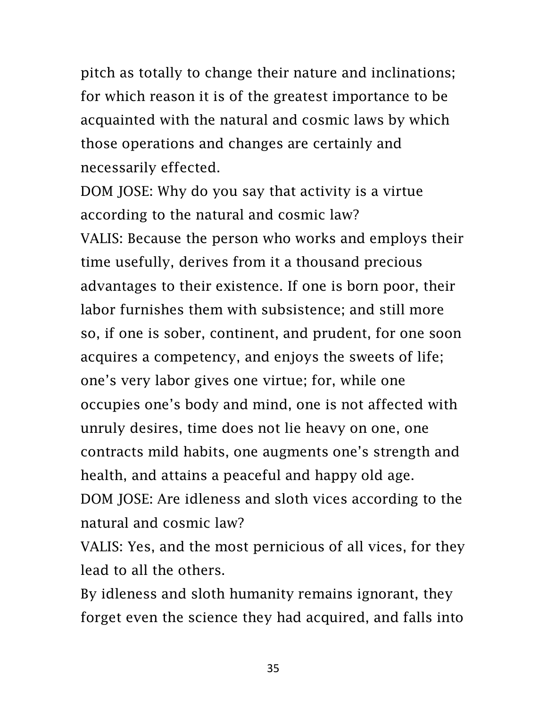pitch as totally to change their nature and inclinations; for which reason it is of the greatest importance to be acquainted with the natural and cosmic laws by which those operations and changes are certainly and necessarily effected.

DOM JOSE: Why do you say that activity is a virtue according to the natural and cosmic law? VALIS: Because the person who works and employs their time usefully, derives from it a thousand precious advantages to their existence. If one is born poor, their labor furnishes them with subsistence; and still more so, if one is sober, continent, and prudent, for one soon acquires a competency, and enjoys the sweets of life; one's very labor gives one virtue; for, while one occupies one's body and mind, one is not affected with unruly desires, time does not lie heavy on one, one contracts mild habits, one augments one's strength and health, and attains a peaceful and happy old age. DOM JOSE: Are idleness and sloth vices according to the natural and cosmic law?

VALIS: Yes, and the most pernicious of all vices, for they lead to all the others.

By idleness and sloth humanity remains ignorant, they forget even the science they had acquired, and falls into

35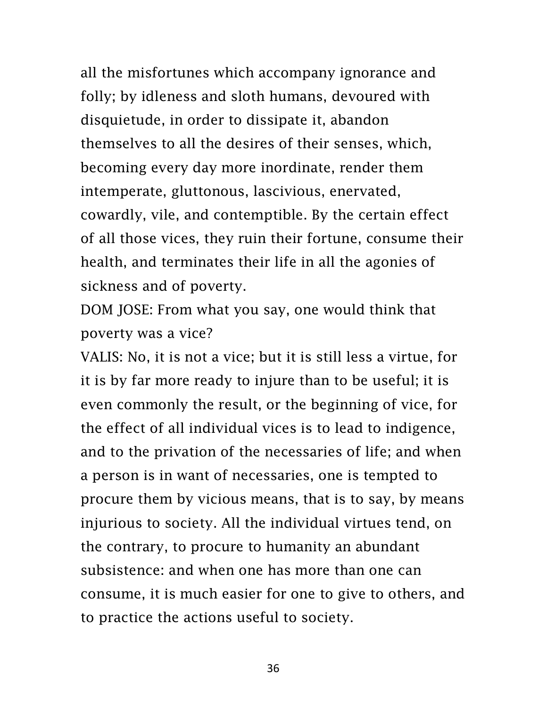all the misfortunes which accompany ignorance and folly; by idleness and sloth humans, devoured with disquietude, in order to dissipate it, abandon themselves to all the desires of their senses, which, becoming every day more inordinate, render them intemperate, gluttonous, lascivious, enervated, cowardly, vile, and contemptible. By the certain effect of all those vices, they ruin their fortune, consume their health, and terminates their life in all the agonies of sickness and of poverty.

DOM JOSE: From what you say, one would think that poverty was a vice?

VALIS: No, it is not a vice; but it is still less a virtue, for it is by far more ready to injure than to be useful; it is even commonly the result, or the beginning of vice, for the effect of all individual vices is to lead to indigence, and to the privation of the necessaries of life; and when a person is in want of necessaries, one is tempted to procure them by vicious means, that is to say, by means injurious to society. All the individual virtues tend, on the contrary, to procure to humanity an abundant subsistence: and when one has more than one can consume, it is much easier for one to give to others, and to practice the actions useful to society.

36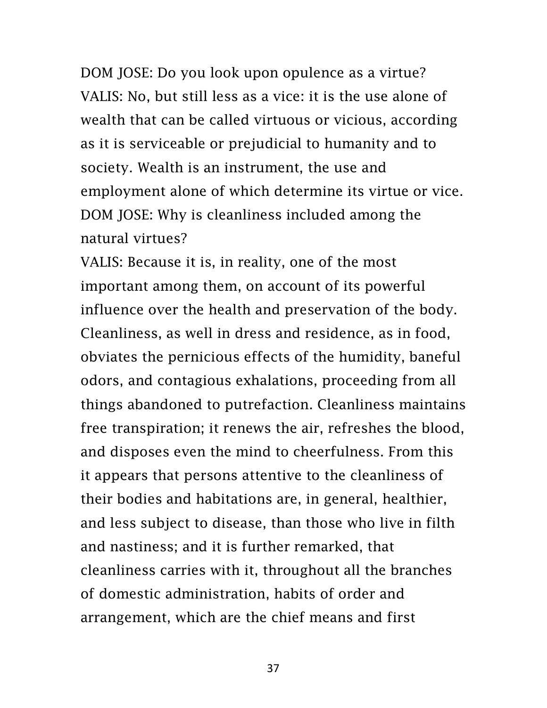DOM JOSE: Do you look upon opulence as a virtue? VALIS: No, but still less as a vice: it is the use alone of wealth that can be called virtuous or vicious, according as it is serviceable or prejudicial to humanity and to society. Wealth is an instrument, the use and employment alone of which determine its virtue or vice. DOM JOSE: Why is cleanliness included among the natural virtues?

VALIS: Because it is, in reality, one of the most important among them, on account of its powerful influence over the health and preservation of the body. Cleanliness, as well in dress and residence, as in food, obviates the pernicious effects of the humidity, baneful odors, and contagious exhalations, proceeding from all things abandoned to putrefaction. Cleanliness maintains free transpiration; it renews the air, refreshes the blood, and disposes even the mind to cheerfulness. From this it appears that persons attentive to the cleanliness of their bodies and habitations are, in general, healthier, and less subject to disease, than those who live in filth and nastiness; and it is further remarked, that cleanliness carries with it, throughout all the branches of domestic administration, habits of order and arrangement, which are the chief means and first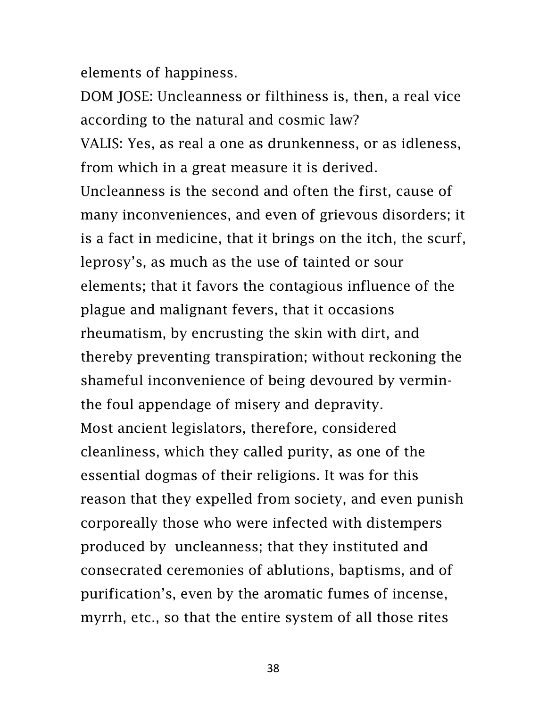elements of happiness.

DOM JOSE: Uncleanness or filthiness is, then, a real vice according to the natural and cosmic law? VALIS: Yes, as real a one as drunkenness, or as idleness, from which in a great measure it is derived. Uncleanness is the second and often the first, cause of many inconveniences, and even of grievous disorders; it is a fact in medicine, that it brings on the itch, the scurf, leprosy's, as much as the use of tainted or sour elements; that it favors the contagious influence of the plague and malignant fevers, that it occasions rheumatism, by encrusting the skin with dirt, and thereby preventing transpiration; without reckoning the shameful inconvenience of being devoured by verminthe foul appendage of misery and depravity. Most ancient legislators, therefore, considered cleanliness, which they called purity, as one of the essential dogmas of their religions. It was for this reason that they expelled from society, and even punish corporeally those who were infected with distempers produced by uncleanness; that they instituted and consecrated ceremonies of ablutions, baptisms, and of purification's, even by the aromatic fumes of incense, myrrh, etc., so that the entire system of all those rites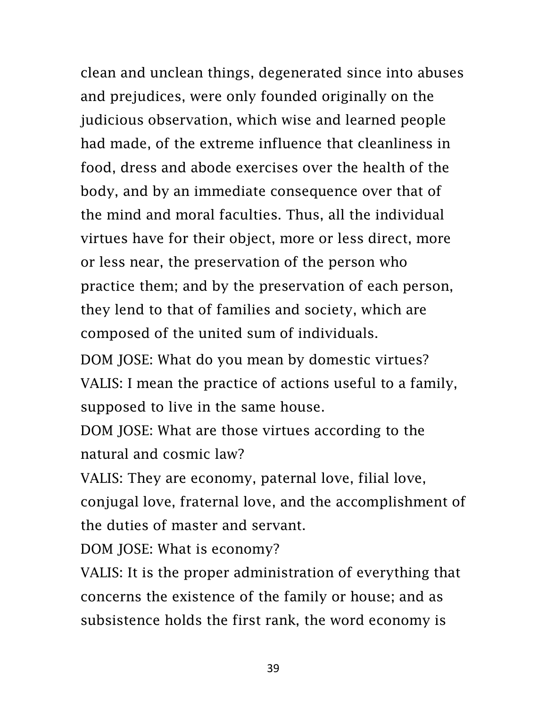clean and unclean things, degenerated since into abuses and prejudices, were only founded originally on the judicious observation, which wise and learned people had made, of the extreme influence that cleanliness in food, dress and abode exercises over the health of the body, and by an immediate consequence over that of the mind and moral faculties. Thus, all the individual virtues have for their object, more or less direct, more or less near, the preservation of the person who practice them; and by the preservation of each person, they lend to that of families and society, which are composed of the united sum of individuals.

DOM JOSE: What do you mean by domestic virtues? VALIS: I mean the practice of actions useful to a family, supposed to live in the same house.

DOM JOSE: What are those virtues according to the natural and cosmic law?

VALIS: They are economy, paternal love, filial love, conjugal love, fraternal love, and the accomplishment of the duties of master and servant.

DOM JOSE: What is economy?

VALIS: It is the proper administration of everything that concerns the existence of the family or house; and as subsistence holds the first rank, the word economy is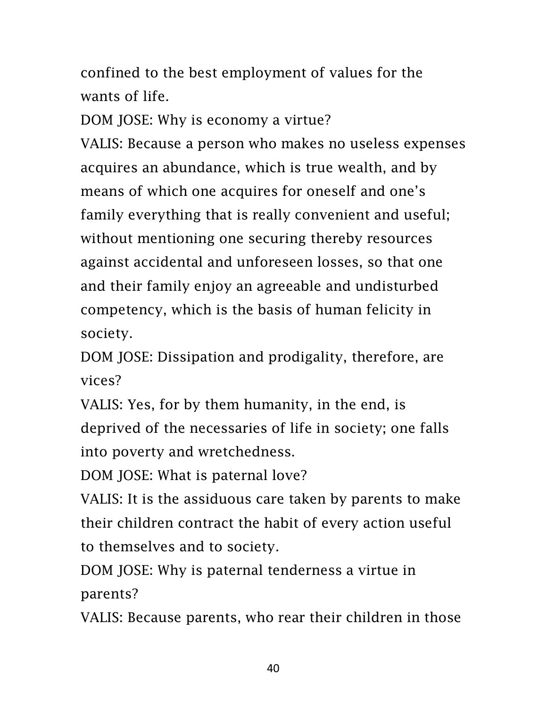confined to the best employment of values for the wants of life.

DOM JOSE: Why is economy a virtue?

VALIS: Because a person who makes no useless expenses acquires an abundance, which is true wealth, and by means of which one acquires for oneself and one's family everything that is really convenient and useful; without mentioning one securing thereby resources against accidental and unforeseen losses, so that one and their family enjoy an agreeable and undisturbed competency, which is the basis of human felicity in society.

DOM JOSE: Dissipation and prodigality, therefore, are vices?

VALIS: Yes, for by them humanity, in the end, is deprived of the necessaries of life in society; one falls into poverty and wretchedness.

DOM JOSE: What is paternal love?

VALIS: It is the assiduous care taken by parents to make their children contract the habit of every action useful to themselves and to society.

DOM JOSE: Why is paternal tenderness a virtue in parents?

VALIS: Because parents, who rear their children in those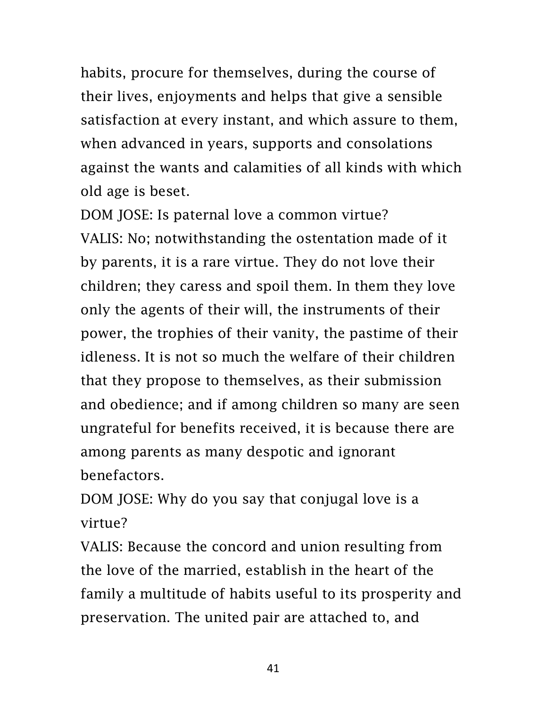habits, procure for themselves, during the course of their lives, enjoyments and helps that give a sensible satisfaction at every instant, and which assure to them, when advanced in years, supports and consolations against the wants and calamities of all kinds with which old age is beset.

DOM JOSE: Is paternal love a common virtue? VALIS: No; notwithstanding the ostentation made of it by parents, it is a rare virtue. They do not love their children; they caress and spoil them. In them they love only the agents of their will, the instruments of their power, the trophies of their vanity, the pastime of their idleness. It is not so much the welfare of their children that they propose to themselves, as their submission and obedience; and if among children so many are seen ungrateful for benefits received, it is because there are among parents as many despotic and ignorant benefactors.

DOM JOSE: Why do you say that conjugal love is a virtue?

VALIS: Because the concord and union resulting from the love of the married, establish in the heart of the family a multitude of habits useful to its prosperity and preservation. The united pair are attached to, and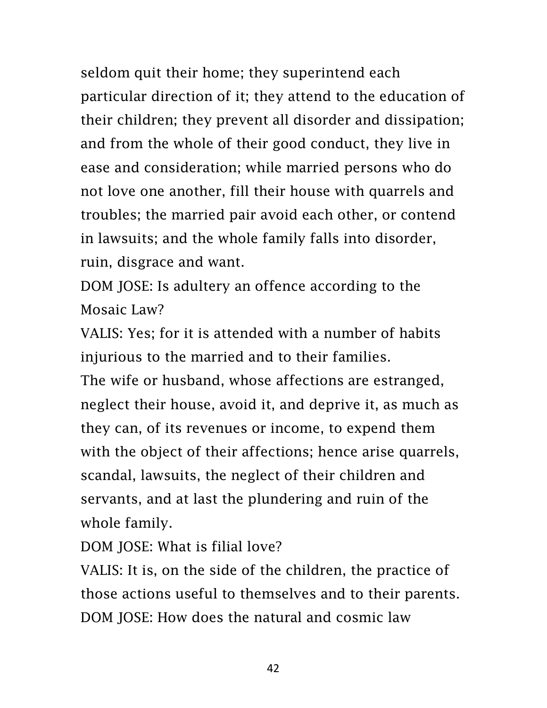seldom quit their home; they superintend each particular direction of it; they attend to the education of their children; they prevent all disorder and dissipation; and from the whole of their good conduct, they live in ease and consideration; while married persons who do not love one another, fill their house with quarrels and troubles; the married pair avoid each other, or contend in lawsuits; and the whole family falls into disorder, ruin, disgrace and want.

DOM JOSE: Is adultery an offence according to the Mosaic Law?

VALIS: Yes; for it is attended with a number of habits injurious to the married and to their families.

The wife or husband, whose affections are estranged, neglect their house, avoid it, and deprive it, as much as they can, of its revenues or income, to expend them with the object of their affections; hence arise quarrels, scandal, lawsuits, the neglect of their children and servants, and at last the plundering and ruin of the whole family.

DOM JOSE: What is filial love?

VALIS: It is, on the side of the children, the practice of those actions useful to themselves and to their parents. DOM JOSE: How does the natural and cosmic law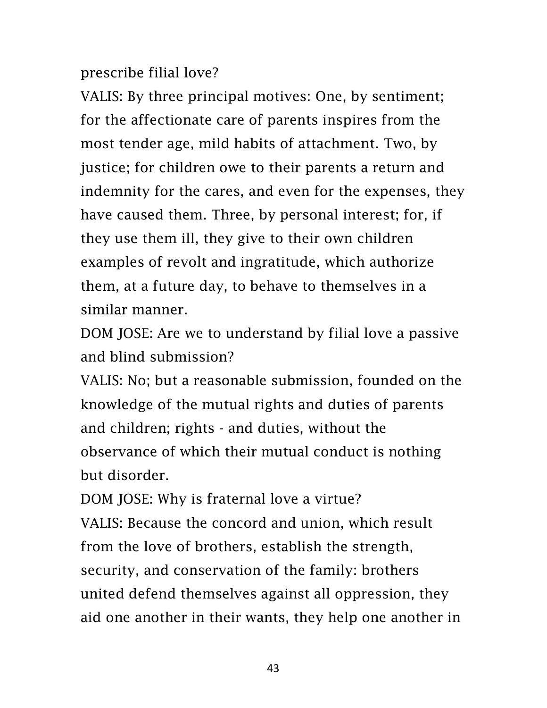prescribe filial love?

VALIS: By three principal motives: One, by sentiment; for the affectionate care of parents inspires from the most tender age, mild habits of attachment. Two, by justice; for children owe to their parents a return and indemnity for the cares, and even for the expenses, they have caused them. Three, by personal interest; for, if they use them ill, they give to their own children examples of revolt and ingratitude, which authorize them, at a future day, to behave to themselves in a similar manner.

DOM JOSE: Are we to understand by filial love a passive and blind submission?

VALIS: No; but a reasonable submission, founded on the knowledge of the mutual rights and duties of parents and children; rights - and duties, without the observance of which their mutual conduct is nothing but disorder.

DOM JOSE: Why is fraternal love a virtue? VALIS: Because the concord and union, which result from the love of brothers, establish the strength, security, and conservation of the family: brothers united defend themselves against all oppression, they aid one another in their wants, they help one another in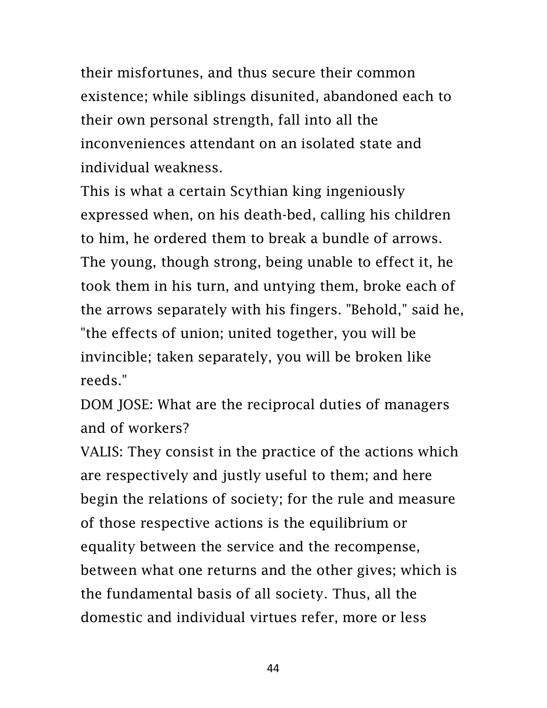their misfortunes, and thus secure their common existence; while siblings disunited, abandoned each to their own personal strength, fall into all the inconveniences attendant on an isolated state and individual weakness.

This is what a certain Scythian king ingeniously expressed when, on his death-bed, calling his children to him, he ordered them to break a bundle of arrows. The young, though strong, being unable to effect it, he took them in his turn, and untying them, broke each of the arrows separately with his fingers. "Behold," said he, "the effects of union; united together, you will be invincible; taken separately, you will be broken like reeds."

DOM JOSE: What are the reciprocal duties of managers and of workers?

VALIS: They consist in the practice of the actions which are respectively and justly useful to them; and here begin the relations of society; for the rule and measure of those respective actions is the equilibrium or equality between the service and the recompense, between what one returns and the other gives; which is the fundamental basis of all society. Thus, all the domestic and individual virtues refer, more or less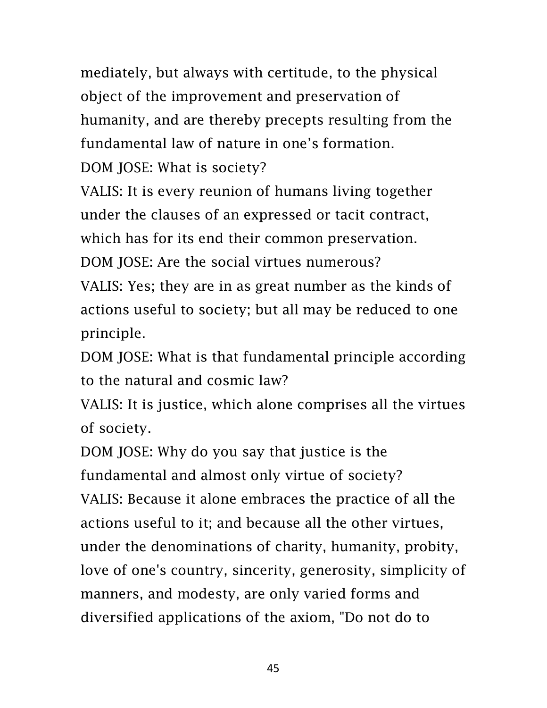mediately, but always with certitude, to the physical object of the improvement and preservation of humanity, and are thereby precepts resulting from the fundamental law of nature in one's formation. DOM JOSE: What is society?

VALIS: It is every reunion of humans living together under the clauses of an expressed or tacit contract, which has for its end their common preservation. DOM JOSE: Are the social virtues numerous?

VALIS: Yes; they are in as great number as the kinds of actions useful to society; but all may be reduced to one principle.

DOM JOSE: What is that fundamental principle according to the natural and cosmic law?

VALIS: It is justice, which alone comprises all the virtues of society.

DOM JOSE: Why do you say that justice is the fundamental and almost only virtue of society? VALIS: Because it alone embraces the practice of all the actions useful to it; and because all the other virtues, under the denominations of charity, humanity, probity, love of one's country, sincerity, generosity, simplicity of manners, and modesty, are only varied forms and diversified applications of the axiom, "Do not do to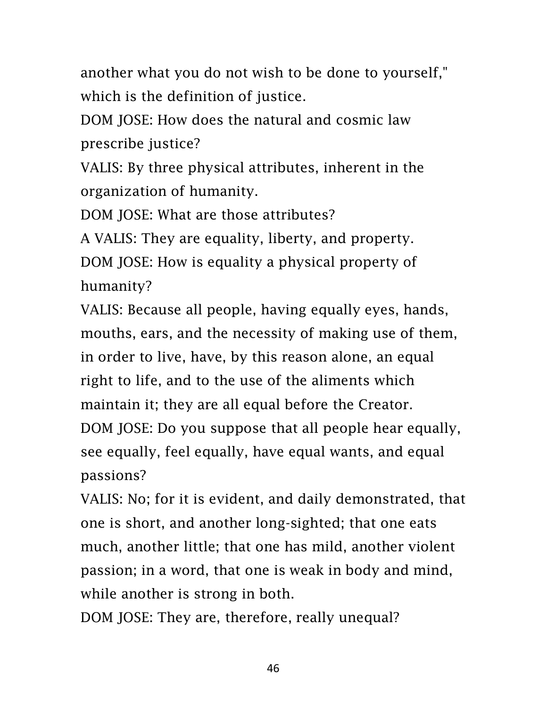another what you do not wish to be done to yourself," which is the definition of justice.

DOM JOSE: How does the natural and cosmic law prescribe justice?

VALIS: By three physical attributes, inherent in the organization of humanity.

DOM JOSE: What are those attributes?

A VALIS: They are equality, liberty, and property.

DOM JOSE: How is equality a physical property of humanity?

VALIS: Because all people, having equally eyes, hands, mouths, ears, and the necessity of making use of them, in order to live, have, by this reason alone, an equal right to life, and to the use of the aliments which maintain it; they are all equal before the Creator. DOM JOSE: Do you suppose that all people hear equally, see equally, feel equally, have equal wants, and equal passions?

VALIS: No; for it is evident, and daily demonstrated, that one is short, and another long-sighted; that one eats much, another little; that one has mild, another violent passion; in a word, that one is weak in body and mind, while another is strong in both.

DOM JOSE: They are, therefore, really unequal?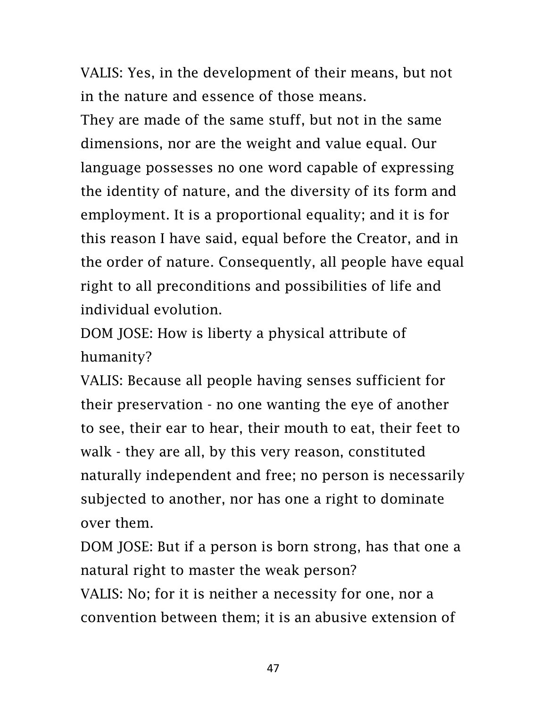VALIS: Yes, in the development of their means, but not in the nature and essence of those means.

They are made of the same stuff, but not in the same dimensions, nor are the weight and value equal. Our language possesses no one word capable of expressing the identity of nature, and the diversity of its form and employment. It is a proportional equality; and it is for this reason I have said, equal before the Creator, and in the order of nature. Consequently, all people have equal right to all preconditions and possibilities of life and individual evolution.

DOM JOSE: How is liberty a physical attribute of humanity?

VALIS: Because all people having senses sufficient for their preservation - no one wanting the eye of another to see, their ear to hear, their mouth to eat, their feet to walk - they are all, by this very reason, constituted naturally independent and free; no person is necessarily subjected to another, nor has one a right to dominate over them.

DOM JOSE: But if a person is born strong, has that one a natural right to master the weak person? VALIS: No; for it is neither a necessity for one, nor a convention between them; it is an abusive extension of

47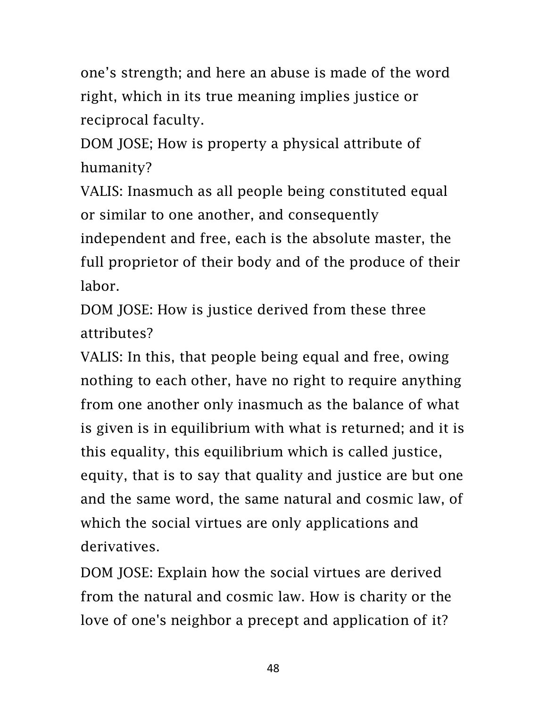one's strength; and here an abuse is made of the word right, which in its true meaning implies justice or reciprocal faculty.

DOM JOSE; How is property a physical attribute of humanity?

VALIS: Inasmuch as all people being constituted equal or similar to one another, and consequently independent and free, each is the absolute master, the full proprietor of their body and of the produce of their labor.

DOM JOSE: How is justice derived from these three attributes?

VALIS: In this, that people being equal and free, owing nothing to each other, have no right to require anything from one another only inasmuch as the balance of what is given is in equilibrium with what is returned; and it is this equality, this equilibrium which is called justice, equity, that is to say that quality and justice are but one and the same word, the same natural and cosmic law, of which the social virtues are only applications and derivatives.

DOM JOSE: Explain how the social virtues are derived from the natural and cosmic law. How is charity or the love of one's neighbor a precept and application of it?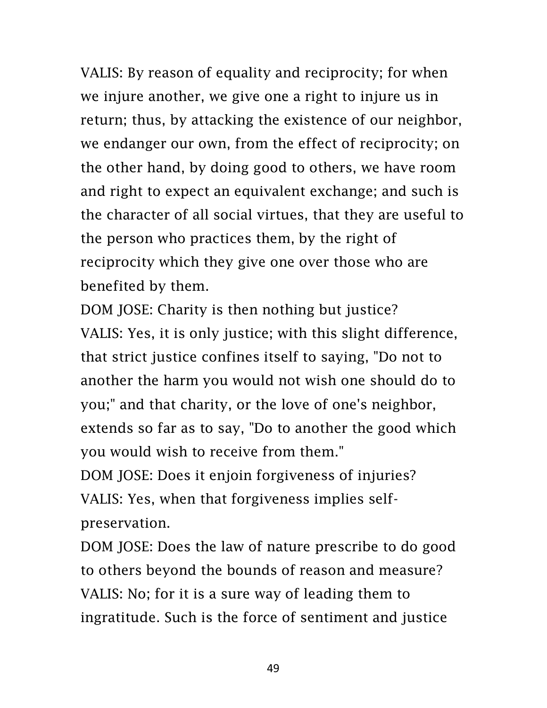VALIS: By reason of equality and reciprocity; for when we injure another, we give one a right to injure us in return; thus, by attacking the existence of our neighbor, we endanger our own, from the effect of reciprocity; on the other hand, by doing good to others, we have room and right to expect an equivalent exchange; and such is the character of all social virtues, that they are useful to the person who practices them, by the right of reciprocity which they give one over those who are benefited by them.

DOM JOSE: Charity is then nothing but justice? VALIS: Yes, it is only justice; with this slight difference, that strict justice confines itself to saying, "Do not to another the harm you would not wish one should do to you;" and that charity, or the love of one's neighbor, extends so far as to say, "Do to another the good which you would wish to receive from them."

DOM JOSE: Does it enjoin forgiveness of injuries? VALIS: Yes, when that forgiveness implies selfpreservation.

DOM JOSE: Does the law of nature prescribe to do good to others beyond the bounds of reason and measure? VALIS: No; for it is a sure way of leading them to ingratitude. Such is the force of sentiment and justice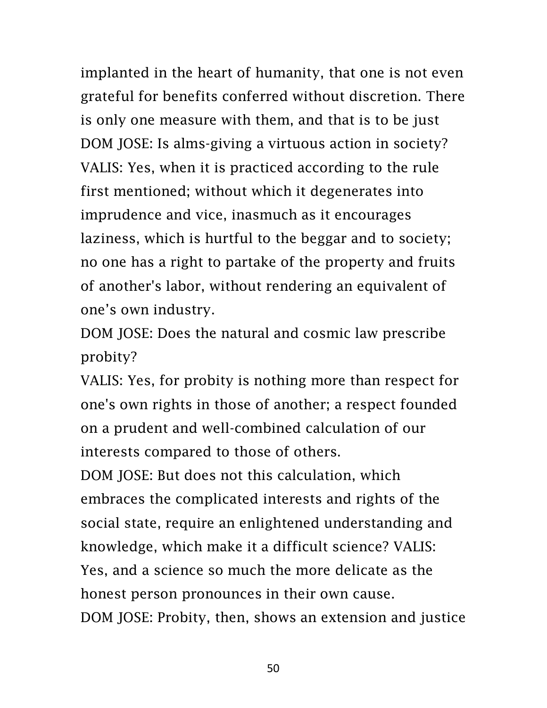implanted in the heart of humanity, that one is not even grateful for benefits conferred without discretion. There is only one measure with them, and that is to be just DOM JOSE: Is alms-giving a virtuous action in society? VALIS: Yes, when it is practiced according to the rule first mentioned; without which it degenerates into imprudence and vice, inasmuch as it encourages laziness, which is hurtful to the beggar and to society; no one has a right to partake of the property and fruits of another's labor, without rendering an equivalent of one's own industry.

DOM JOSE: Does the natural and cosmic law prescribe probity?

VALIS: Yes, for probity is nothing more than respect for one's own rights in those of another; a respect founded on a prudent and well-combined calculation of our interests compared to those of others.

DOM JOSE: But does not this calculation, which embraces the complicated interests and rights of the social state, require an enlightened understanding and knowledge, which make it a difficult science? VALIS: Yes, and a science so much the more delicate as the honest person pronounces in their own cause. DOM JOSE: Probity, then, shows an extension and justice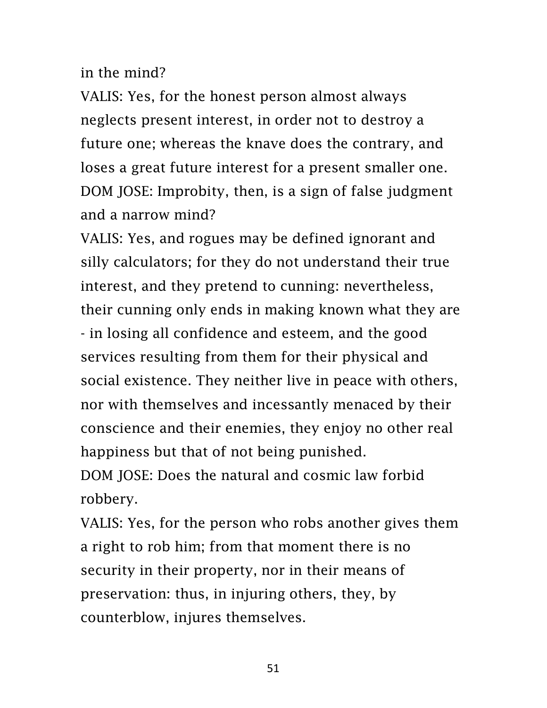in the mind?

VALIS: Yes, for the honest person almost always neglects present interest, in order not to destroy a future one; whereas the knave does the contrary, and loses a great future interest for a present smaller one. DOM JOSE: Improbity, then, is a sign of false judgment and a narrow mind?

VALIS: Yes, and rogues may be defined ignorant and silly calculators; for they do not understand their true interest, and they pretend to cunning: nevertheless, their cunning only ends in making known what they are - in losing all confidence and esteem, and the good services resulting from them for their physical and social existence. They neither live in peace with others, nor with themselves and incessantly menaced by their conscience and their enemies, they enjoy no other real happiness but that of not being punished.

DOM JOSE: Does the natural and cosmic law forbid robbery.

VALIS: Yes, for the person who robs another gives them a right to rob him; from that moment there is no security in their property, nor in their means of preservation: thus, in injuring others, they, by counterblow, injures themselves.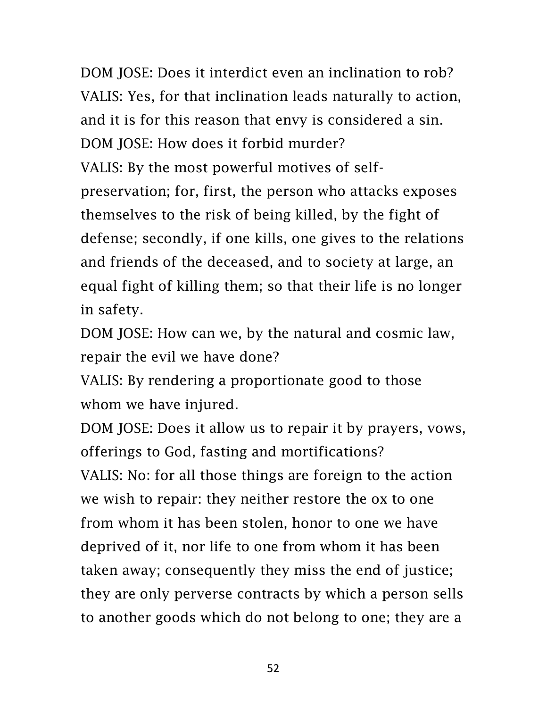DOM JOSE: Does it interdict even an inclination to rob? VALIS: Yes, for that inclination leads naturally to action, and it is for this reason that envy is considered a sin. DOM JOSE: How does it forbid murder? VALIS: By the most powerful motives of selfpreservation; for, first, the person who attacks exposes themselves to the risk of being killed, by the fight of defense; secondly, if one kills, one gives to the relations and friends of the deceased, and to society at large, an equal fight of killing them; so that their life is no longer in safety.

DOM JOSE: How can we, by the natural and cosmic law, repair the evil we have done?

VALIS: By rendering a proportionate good to those whom we have injured.

DOM JOSE: Does it allow us to repair it by prayers, vows, offerings to God, fasting and mortifications? VALIS: No: for all those things are foreign to the action we wish to repair: they neither restore the ox to one from whom it has been stolen, honor to one we have deprived of it, nor life to one from whom it has been taken away; consequently they miss the end of justice; they are only perverse contracts by which a person sells to another goods which do not belong to one; they are a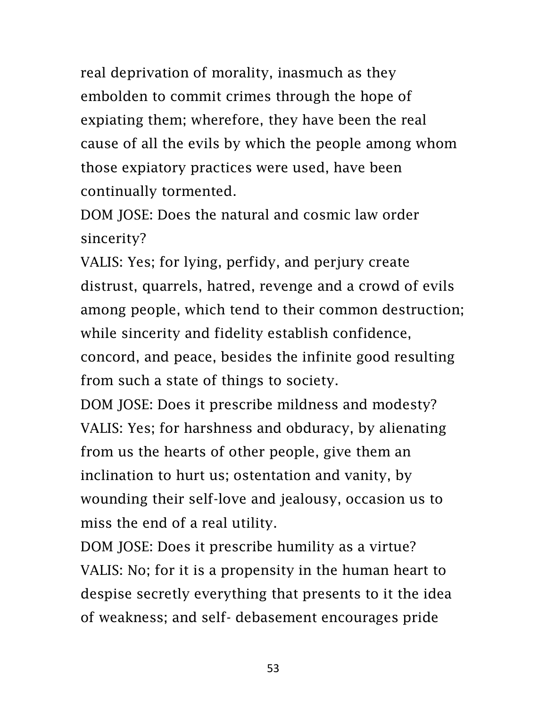real deprivation of morality, inasmuch as they embolden to commit crimes through the hope of expiating them; wherefore, they have been the real cause of all the evils by which the people among whom those expiatory practices were used, have been continually tormented.

DOM JOSE: Does the natural and cosmic law order sincerity?

VALIS: Yes; for lying, perfidy, and perjury create distrust, quarrels, hatred, revenge and a crowd of evils among people, which tend to their common destruction; while sincerity and fidelity establish confidence,

concord, and peace, besides the infinite good resulting from such a state of things to society.

DOM JOSE: Does it prescribe mildness and modesty? VALIS: Yes; for harshness and obduracy, by alienating from us the hearts of other people, give them an inclination to hurt us; ostentation and vanity, by wounding their self-love and jealousy, occasion us to miss the end of a real utility.

DOM JOSE: Does it prescribe humility as a virtue? VALIS: No; for it is a propensity in the human heart to despise secretly everything that presents to it the idea of weakness; and self- debasement encourages pride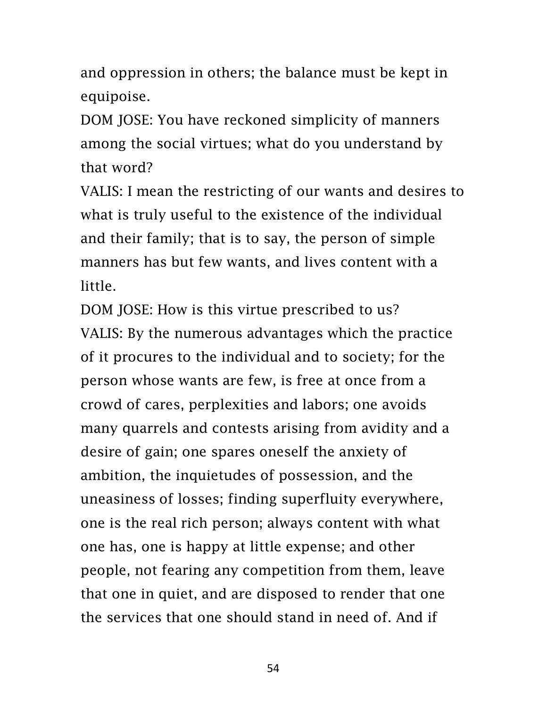and oppression in others; the balance must be kept in equipoise.

DOM JOSE: You have reckoned simplicity of manners among the social virtues; what do you understand by that word?

VALIS: I mean the restricting of our wants and desires to what is truly useful to the existence of the individual and their family; that is to say, the person of simple manners has but few wants, and lives content with a little.

DOM JOSE: How is this virtue prescribed to us? VALIS: By the numerous advantages which the practice of it procures to the individual and to society; for the person whose wants are few, is free at once from a crowd of cares, perplexities and labors; one avoids many quarrels and contests arising from avidity and a desire of gain; one spares oneself the anxiety of ambition, the inquietudes of possession, and the uneasiness of losses; finding superfluity everywhere, one is the real rich person; always content with what one has, one is happy at little expense; and other people, not fearing any competition from them, leave that one in quiet, and are disposed to render that one the services that one should stand in need of. And if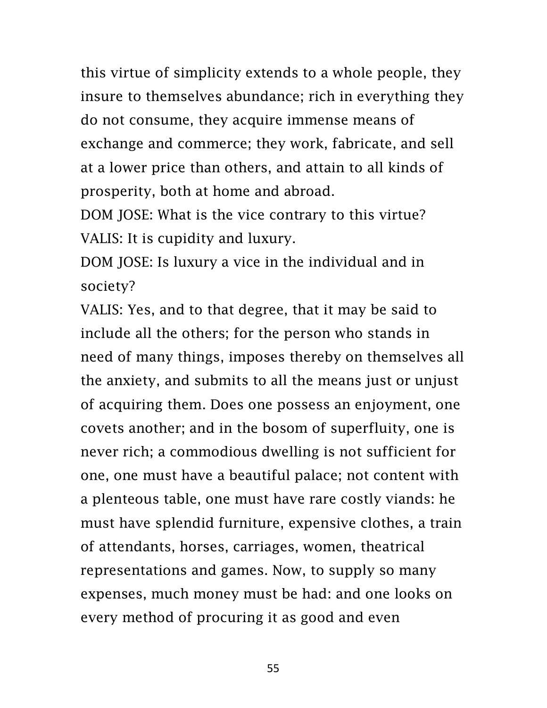this virtue of simplicity extends to a whole people, they insure to themselves abundance; rich in everything they do not consume, they acquire immense means of exchange and commerce; they work, fabricate, and sell at a lower price than others, and attain to all kinds of prosperity, both at home and abroad.

DOM JOSE: What is the vice contrary to this virtue? VALIS: It is cupidity and luxury.

DOM JOSE: Is luxury a vice in the individual and in society?

VALIS: Yes, and to that degree, that it may be said to include all the others; for the person who stands in need of many things, imposes thereby on themselves all the anxiety, and submits to all the means just or unjust of acquiring them. Does one possess an enjoyment, one covets another; and in the bosom of superfluity, one is never rich; a commodious dwelling is not sufficient for one, one must have a beautiful palace; not content with a plenteous table, one must have rare costly viands: he must have splendid furniture, expensive clothes, a train of attendants, horses, carriages, women, theatrical representations and games. Now, to supply so many expenses, much money must be had: and one looks on every method of procuring it as good and even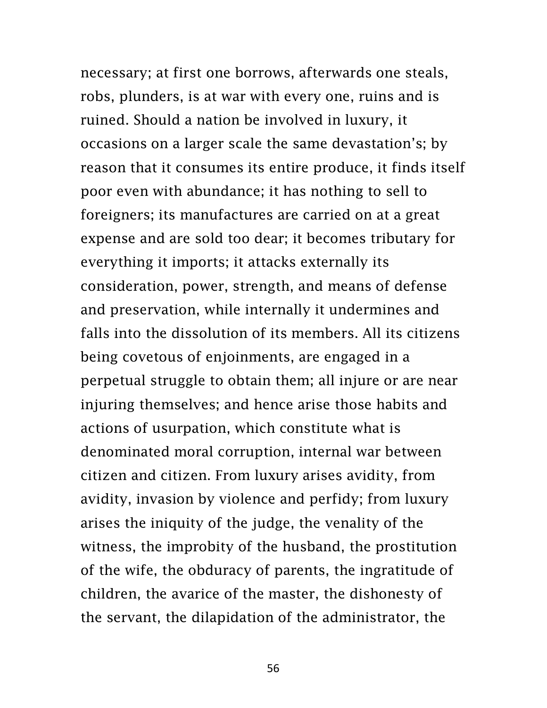necessary; at first one borrows, afterwards one steals, robs, plunders, is at war with every one, ruins and is ruined. Should a nation be involved in luxury, it occasions on a larger scale the same devastation's; by reason that it consumes its entire produce, it finds itself poor even with abundance; it has nothing to sell to foreigners; its manufactures are carried on at a great expense and are sold too dear; it becomes tributary for everything it imports; it attacks externally its consideration, power, strength, and means of defense and preservation, while internally it undermines and falls into the dissolution of its members. All its citizens being covetous of enjoinments, are engaged in a perpetual struggle to obtain them; all injure or are near injuring themselves; and hence arise those habits and actions of usurpation, which constitute what is denominated moral corruption, internal war between citizen and citizen. From luxury arises avidity, from avidity, invasion by violence and perfidy; from luxury arises the iniquity of the judge, the venality of the witness, the improbity of the husband, the prostitution of the wife, the obduracy of parents, the ingratitude of children, the avarice of the master, the dishonesty of the servant, the dilapidation of the administrator, the

56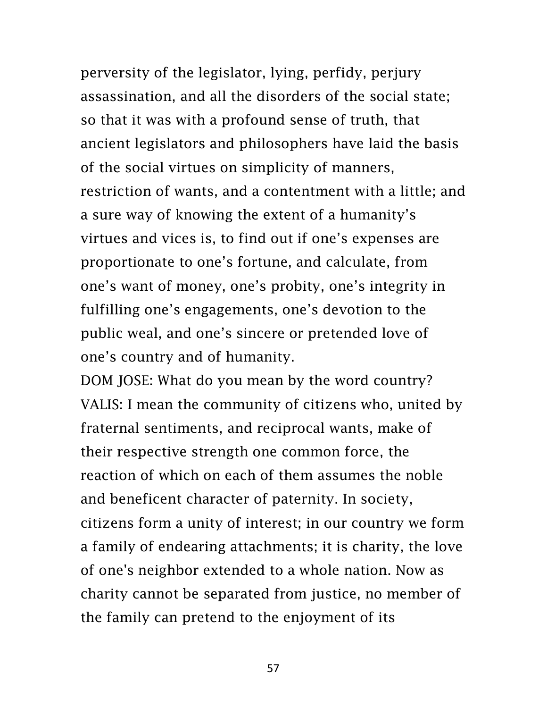perversity of the legislator, lying, perfidy, perjury assassination, and all the disorders of the social state; so that it was with a profound sense of truth, that ancient legislators and philosophers have laid the basis of the social virtues on simplicity of manners, restriction of wants, and a contentment with a little; and a sure way of knowing the extent of a humanity's virtues and vices is, to find out if one's expenses are proportionate to one's fortune, and calculate, from one's want of money, one's probity, one's integrity in fulfilling one's engagements, one's devotion to the public weal, and one's sincere or pretended love of one's country and of humanity.

DOM JOSE: What do you mean by the word country? VALIS: I mean the community of citizens who, united by fraternal sentiments, and reciprocal wants, make of their respective strength one common force, the reaction of which on each of them assumes the noble and beneficent character of paternity. In society, citizens form a unity of interest; in our country we form a family of endearing attachments; it is charity, the love of one's neighbor extended to a whole nation. Now as charity cannot be separated from justice, no member of the family can pretend to the enjoyment of its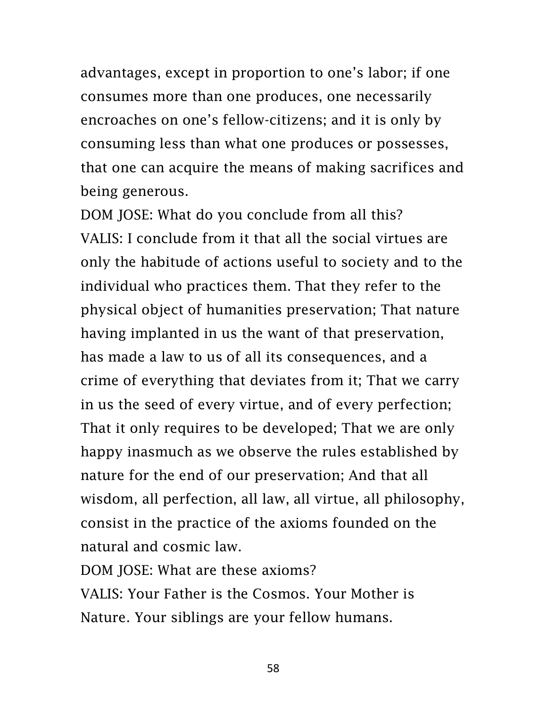advantages, except in proportion to one's labor; if one consumes more than one produces, one necessarily encroaches on one's fellow-citizens; and it is only by consuming less than what one produces or possesses, that one can acquire the means of making sacrifices and being generous.

DOM JOSE: What do you conclude from all this? VALIS: I conclude from it that all the social virtues are only the habitude of actions useful to society and to the individual who practices them. That they refer to the physical object of humanities preservation; That nature having implanted in us the want of that preservation, has made a law to us of all its consequences, and a crime of everything that deviates from it; That we carry in us the seed of every virtue, and of every perfection; That it only requires to be developed; That we are only happy inasmuch as we observe the rules established by nature for the end of our preservation; And that all wisdom, all perfection, all law, all virtue, all philosophy, consist in the practice of the axioms founded on the natural and cosmic law.

DOM JOSE: What are these axioms?

VALIS: Your Father is the Cosmos. Your Mother is Nature. Your siblings are your fellow humans.